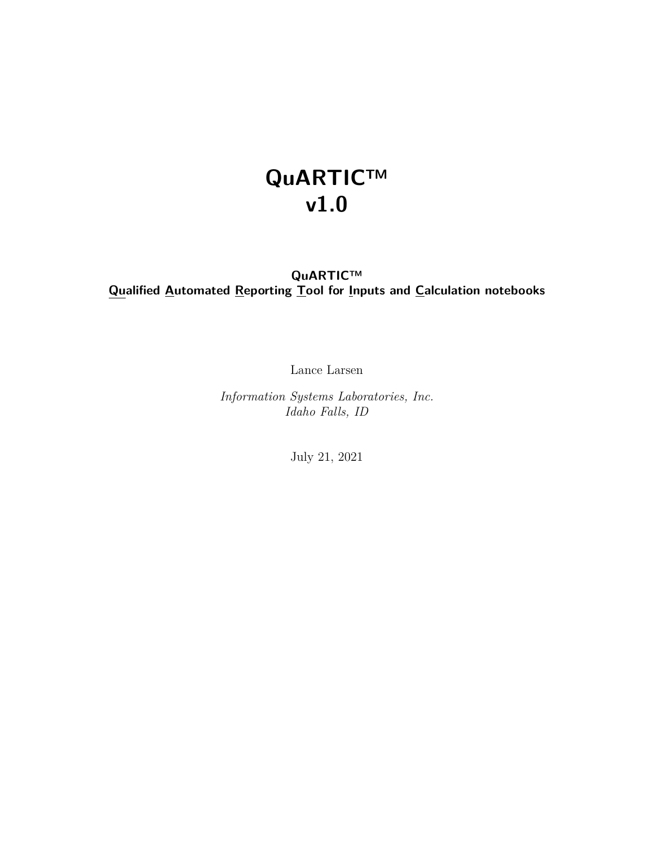## **QuARTIC™ v1.0**

### **QuARTIC™ Qualified Automated Reporting Tool for Inputs and Calculation notebooks**

Lance Larsen

*Information Systems Laboratories, Inc. Idaho Falls, ID*

July 21, 2021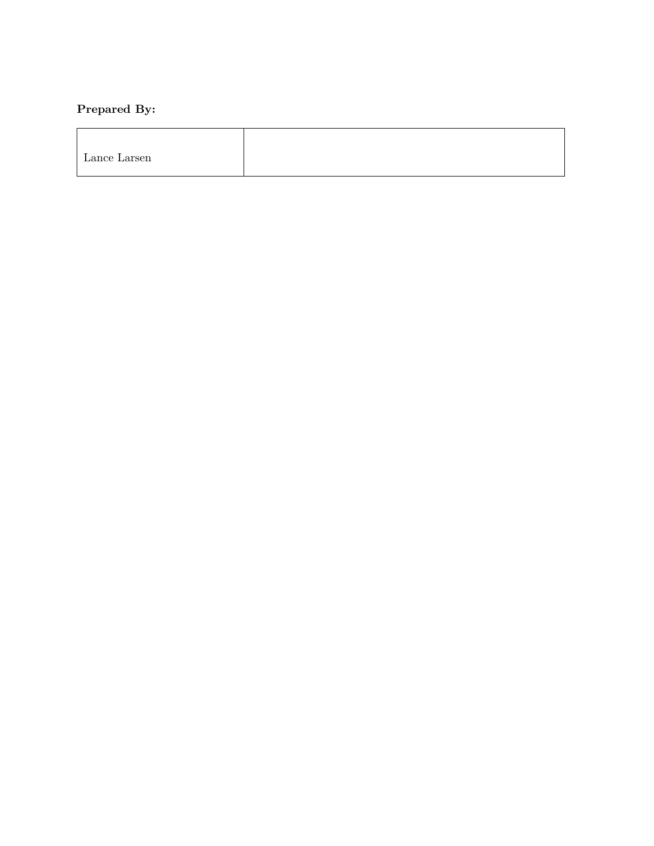## **Prepared By:**

| $\mathbf{r}$<br>$\sim$<br>Lance Larsen |  |
|----------------------------------------|--|
|                                        |  |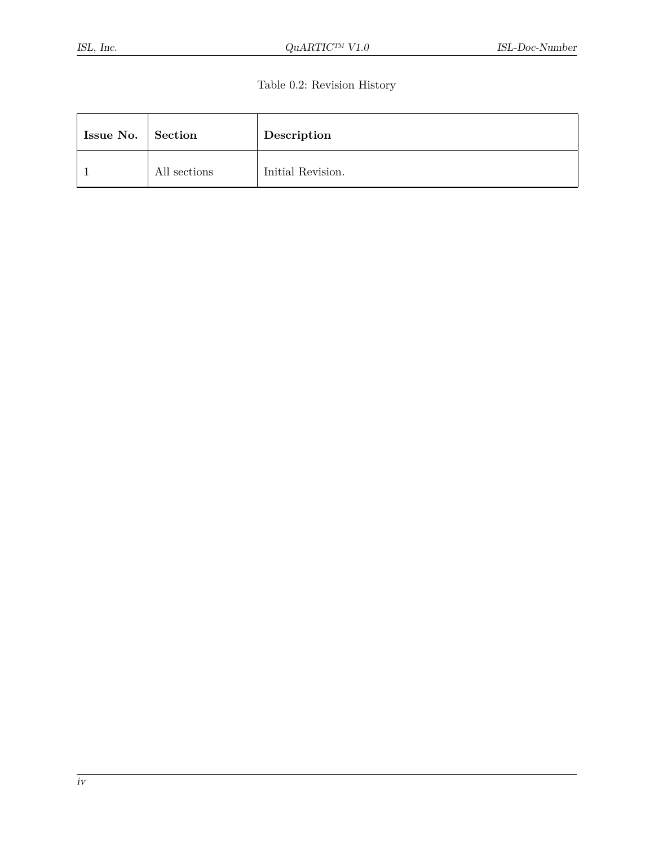#### Table 0.2: Revision History

| Issue No. Section |              | Description       |
|-------------------|--------------|-------------------|
|                   | All sections | Initial Revision. |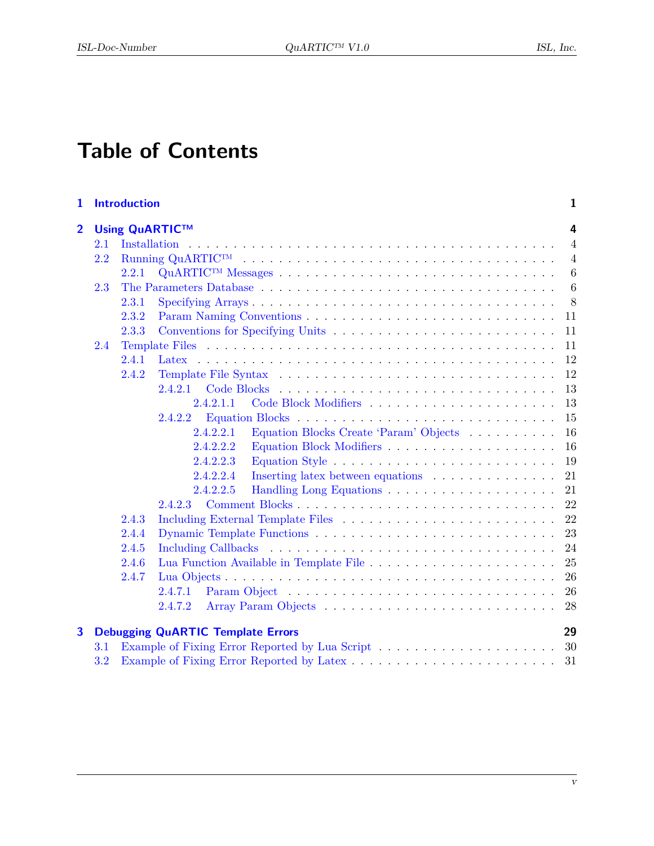## **Table of Contents**

| $\mathbf{1}$   |     | <b>Introduction</b> |                                                     | 1               |
|----------------|-----|---------------------|-----------------------------------------------------|-----------------|
| $\overline{2}$ |     |                     | <b>Using QuARTIC™</b>                               | 4               |
|                | 2.1 |                     |                                                     | $\overline{4}$  |
|                | 2.2 |                     |                                                     | $\overline{4}$  |
|                |     | 2.2.1               |                                                     | $6\phantom{.}6$ |
|                | 2.3 |                     |                                                     | $6\phantom{.}6$ |
|                |     | 2.3.1               |                                                     | 8               |
|                |     | 2.3.2               |                                                     | 11              |
|                |     | 2.3.3               |                                                     | 11              |
|                | 2.4 |                     |                                                     | 11              |
|                |     | 2.4.1               |                                                     | 12              |
|                |     | 2.4.2               |                                                     | 12              |
|                |     |                     | 2.4.2.1                                             | 13              |
|                |     |                     | 2.4.2.1.1                                           | 13              |
|                |     |                     | 2.4.2.2                                             | 15              |
|                |     |                     | 2.4.2.2.1<br>Equation Blocks Create 'Param' Objects | 16              |
|                |     |                     | 2.4.2.2.2                                           | 16              |
|                |     |                     | 2.4.2.2.3                                           | 19              |
|                |     |                     | Inserting latex between equations<br>2.4.2.2.4      | 21              |
|                |     |                     | 2.4.2.2.5                                           | 21              |
|                |     |                     | 2.4.2.3                                             | 22              |
|                |     | 2.4.3               |                                                     | 22              |
|                |     | 2.4.4               |                                                     | 23              |
|                |     | 2.4.5               |                                                     | 24              |
|                |     | 2.4.6               |                                                     | 25              |
|                |     | 2.4.7               |                                                     | 26              |
|                |     |                     | 2.4.7.1                                             | 26              |
|                |     |                     | 2.4.7.2                                             | 28              |
| 3              |     |                     | <b>Debugging QuARTIC Template Errors</b>            | 29              |
|                | 3.1 |                     |                                                     | 30              |
|                | 3.2 |                     |                                                     | 31              |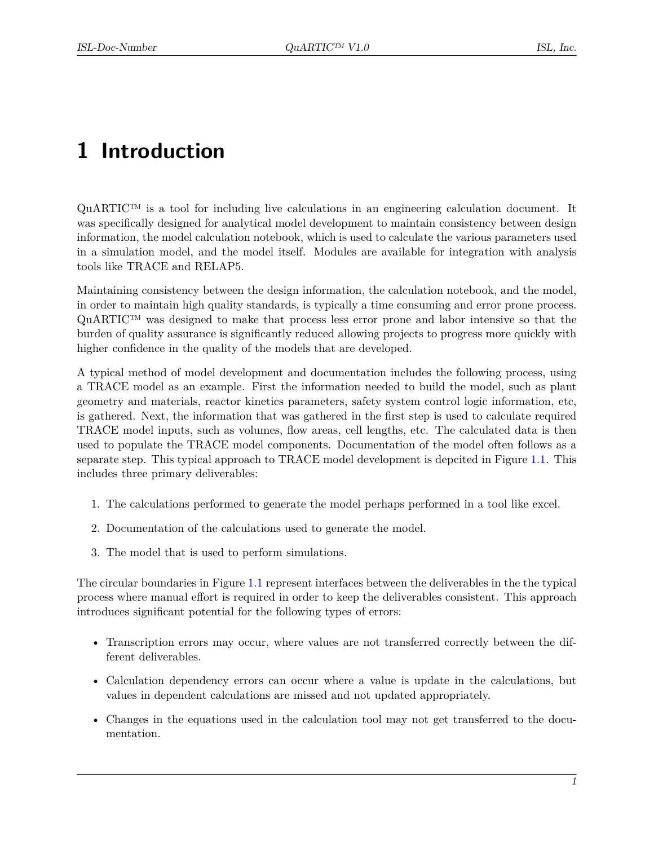## <span id="page-5-0"></span>**1 Introduction**

 $\text{QuARTIC}^{\text{TM}}$  is a tool for including live calculations in an engineering calculation document. It was specifically designed for analytical model development to maintain consistency between design information, the model calculation notebook, which is used to calculate the various parameters used in a simulation model, and the model itself. Modules are available for integration with analysis tools like TRACE and RELAP5.

Maintaining consistency between the design information, the calculation notebook, and the model, in order to maintain high quality standards, is typically a time consuming and error prone process. QuARTIC™ was designed to make that process less error prone and labor intensive so that the burden of quality assurance is significantly reduced allowing projects to progress more quickly with higher confidence in the quality of the models that are developed.

A typical method of model development and documentation includes the following process, using a TRACE model as an example. First the information needed to build the model, such as plant geometry and materials, reactor kinetics parameters, safety system control logic information, etc, is gathered. Next, the information that was gathered in the first step is used to calculate required TRACE model inputs, such as volumes, flow areas, cell lengths, etc. The calculated data is then used to populate the TRACE model components. Documentation of the model often follows as a separate step. This typical approach to TRACE model development is depcited in Figure [1.1.](#page-6-0) This includes three primary deliverables:

- 1. The calculations performed to generate the model perhaps performed in a tool like excel.
- 2. Documentation of the calculations used to generate the model.
- 3. The model that is used to perform simulations.

The circular boundaries in Figure [1.1](#page-6-0) represent interfaces between the deliverables in the the typical process where manual effort is required in order to keep the deliverables consistent. This approach introduces significant potential for the following types of errors:

- Transcription errors may occur, where values are not transferred correctly between the different deliverables.
- Calculation dependency errors can occur where a value is update in the calculations, but values in dependent calculations are missed and not updated appropriately.
- Changes in the equations used in the calculation tool may not get transferred to the documentation.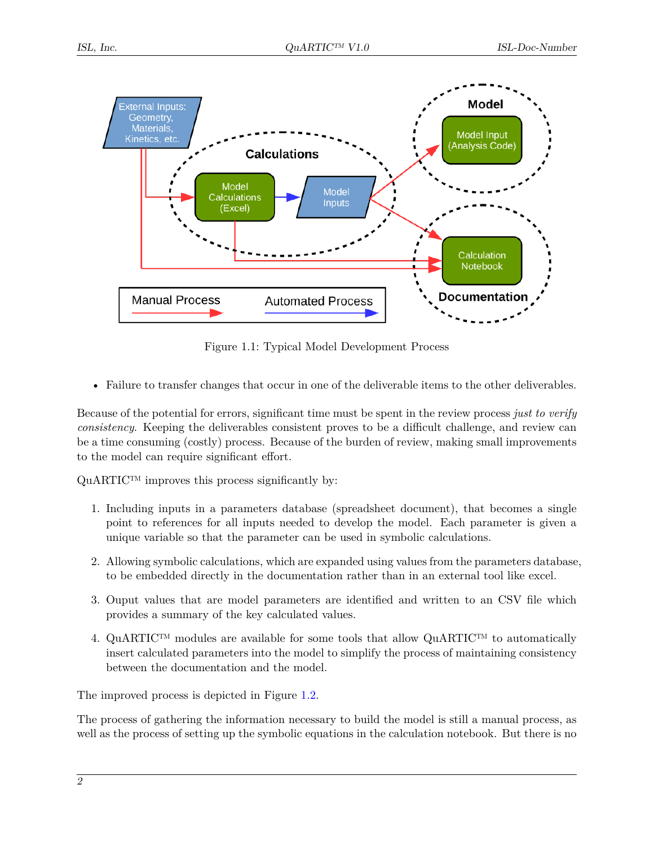<span id="page-6-0"></span>

Figure 1.1: Typical Model Development Process

• Failure to transfer changes that occur in one of the deliverable items to the other deliverables.

Because of the potential for errors, significant time must be spent in the review process *just to verify consistency*. Keeping the deliverables consistent proves to be a difficult challenge, and review can be a time consuming (costly) process. Because of the burden of review, making small improvements to the model can require significant effort.

QuARTIC<sup>™</sup> improves this process significantly by:

- 1. Including inputs in a parameters database (spreadsheet document), that becomes a single point to references for all inputs needed to develop the model. Each parameter is given a unique variable so that the parameter can be used in symbolic calculations.
- 2. Allowing symbolic calculations, which are expanded using values from the parameters database, to be embedded directly in the documentation rather than in an external tool like excel.
- 3. Ouput values that are model parameters are identified and written to an CSV file which provides a summary of the key calculated values.
- 4. QuARTIC<sup>™</sup> modules are available for some tools that allow QuARTIC<sup>™</sup> to automatically insert calculated parameters into the model to simplify the process of maintaining consistency between the documentation and the model.

The improved process is depicted in Figure [1.2.](#page-7-0)

The process of gathering the information necessary to build the model is still a manual process, as well as the process of setting up the symbolic equations in the calculation notebook. But there is no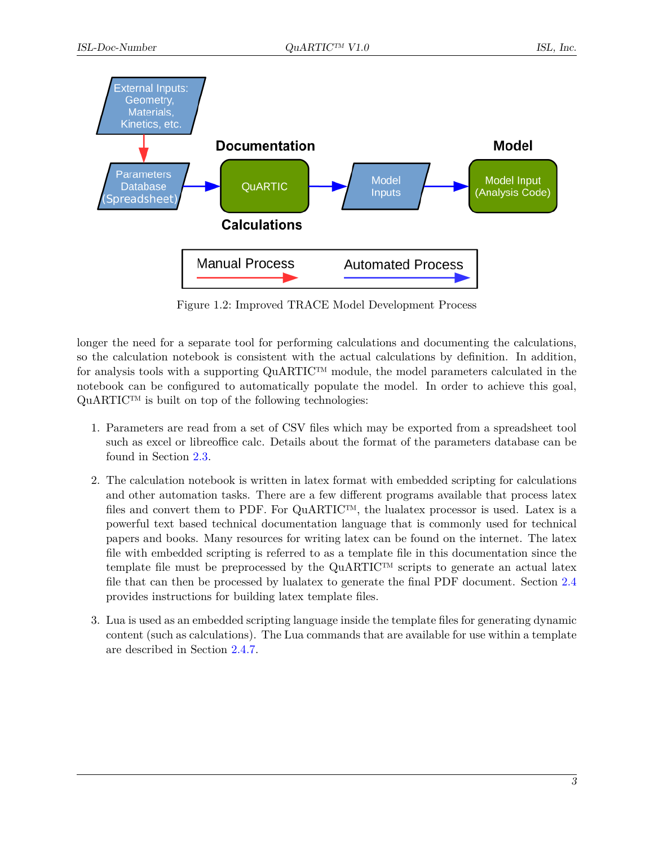<span id="page-7-0"></span>

Figure 1.2: Improved TRACE Model Development Process

longer the need for a separate tool for performing calculations and documenting the calculations, so the calculation notebook is consistent with the actual calculations by definition. In addition, for analysis tools with a supporting  $\text{QuARTIC}^{\text{TM}}$  module, the model parameters calculated in the notebook can be configured to automatically populate the model. In order to achieve this goal,  $\mathbf{QuARTIC^{TM}}$  is built on top of the following technologies:

- 1. Parameters are read from a set of CSV files which may be exported from a spreadsheet tool such as excel or libreoffice calc. Details about the format of the parameters database can be found in Section [2.3.](#page-10-1)
- 2. The calculation notebook is written in latex format with embedded scripting for calculations and other automation tasks. There are a few different programs available that process latex files and convert them to PDF. For QuARTIC™, the lualatex processor is used. Latex is a powerful text based technical documentation language that is commonly used for technical papers and books. Many resources for writing latex can be found on the internet. The latex file with embedded scripting is referred to as a template file in this documentation since the template file must be preprocessed by the  $\text{QuARTIC}^{\text{TM}}$  scripts to generate an actual latex file that can then be processed by lualatex to generate the final PDF document. Section [2.4](#page-15-2) provides instructions for building latex template files.
- 3. Lua is used as an embedded scripting language inside the template files for generating dynamic content (such as calculations). The Lua commands that are available for use within a template are described in Section [2.4.7.](#page-30-0)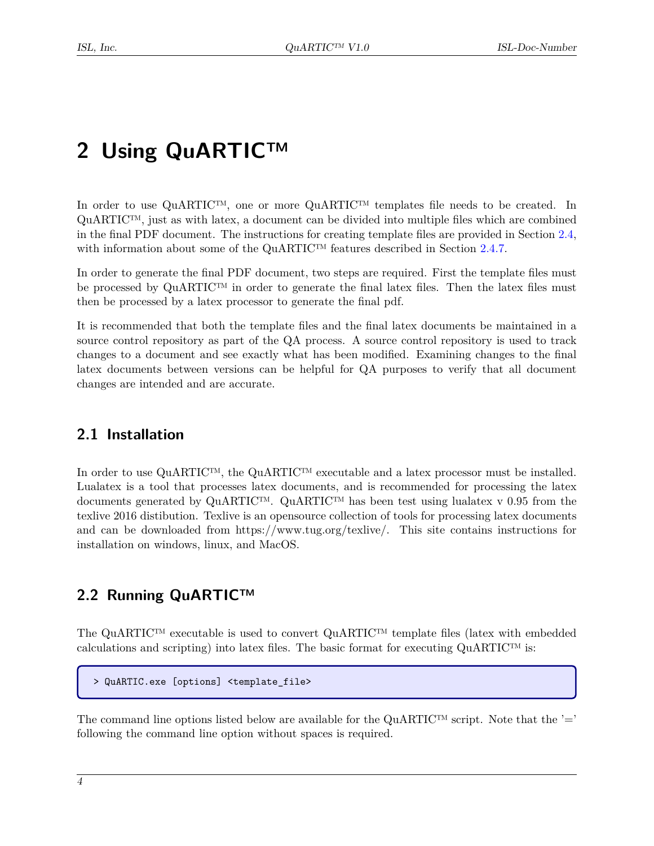## <span id="page-8-0"></span>**2 Using QuARTIC™**

In order to use QuARTIC™, one or more QuARTIC™ templates file needs to be created. In  $\text{QuARTIC}^{\text{TM}}$ , just as with latex, a document can be divided into multiple files which are combined in the final PDF document. The instructions for creating template files are provided in Section [2.4,](#page-15-2) with information about some of the QuARTIC™ features described in Section [2.4.7.](#page-30-0)

In order to generate the final PDF document, two steps are required. First the template files must be processed by  $\text{QuARTIC}^{\text{TM}}$  in order to generate the final latex files. Then the latex files must then be processed by a latex processor to generate the final pdf.

It is recommended that both the template files and the final latex documents be maintained in a source control repository as part of the QA process. A source control repository is used to track changes to a document and see exactly what has been modified. Examining changes to the final latex documents between versions can be helpful for QA purposes to verify that all document changes are intended and are accurate.

### <span id="page-8-1"></span>**2.1 Installation**

In order to use QuARTIC™, the QuARTIC™ executable and a latex processor must be installed. Lualatex is a tool that processes latex documents, and is recommended for processing the latex documents generated by  $\text{QuARTIC}^{\text{TM}}$ .  $\text{QuARTIC}^{\text{TM}}$  has been test using lualatex v 0.95 from the texlive 2016 distibution. Texlive is an opensource collection of tools for processing latex documents and can be downloaded from https://www.tug.org/texlive/. This site contains instructions for installation on windows, linux, and MacOS.

## <span id="page-8-2"></span>**2.2 Running QuARTIC™**

The QuARTIC™ executable is used to convert QuARTIC™ template files (latex with embedded calculations and scripting) into latex files. The basic format for executing  $\text{QuARTIC}^{\text{TM}}$  is:

```
> QuARTIC.exe [options] <template_file>
```
The command line options listed below are available for the  $\text{QuARTIC}^{\text{TM}}$  script. Note that the '=' following the command line option without spaces is required.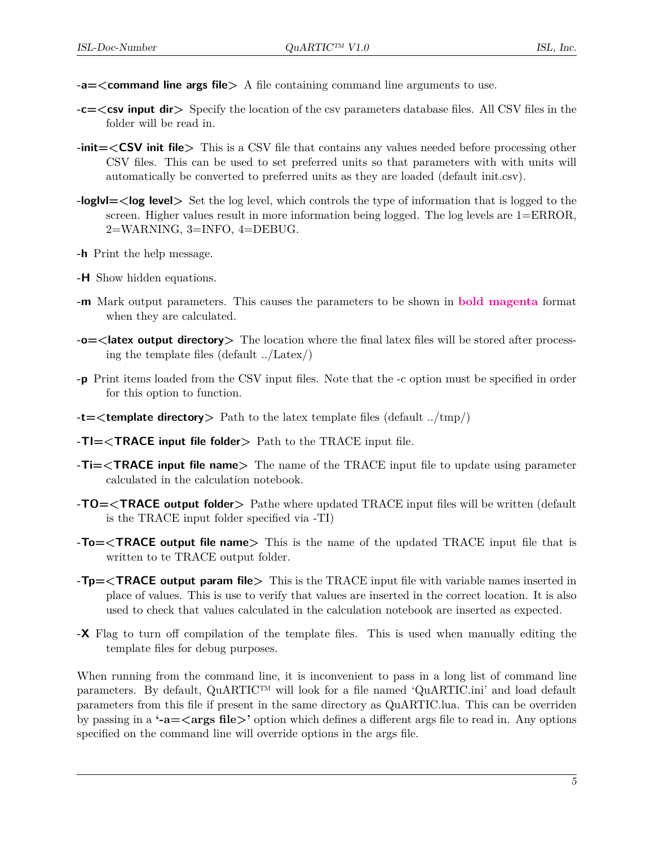- **-a=<command line args file>** A file containing command line arguments to use.
- **-c=<csv input dir>** Specify the location of the csv parameters database files. All CSV files in the folder will be read in.
- **-init=<CSV init file>** This is a CSV file that contains any values needed before processing other CSV files. This can be used to set preferred units so that parameters with with units will automatically be converted to preferred units as they are loaded (default init.csv).
- **-loglvl=<log level>** Set the log level, which controls the type of information that is logged to the screen. Higher values result in more information being logged. The log levels are 1=ERROR, 2=WARNING, 3=INFO, 4=DEBUG.
- **-h** Print the help message.
- **-H** Show hidden equations.
- **-m** Mark output parameters. This causes the parameters to be shown in **bold magenta** format when they are calculated.
- **-o=<latex output directory>** The location where the final latex files will be stored after processing the template files (default ../Latex/)
- **-p** Print items loaded from the CSV input files. Note that the -c option must be specified in order for this option to function.
- **-t=<template directory>** Path to the latex template files (default ../tmp/)
- **-TI=<TRACE input file folder>** Path to the TRACE input file.
- **-Ti=<TRACE input file name>** The name of the TRACE input file to update using parameter calculated in the calculation notebook.
- **-TO=<TRACE output folder>** Pathe where updated TRACE input files will be written (default is the TRACE input folder specified via -TI)
- **-To=<TRACE output file name>** This is the name of the updated TRACE input file that is written to te TRACE output folder.
- **-Tp=<TRACE output param file>** This is the TRACE input file with variable names inserted in place of values. This is use to verify that values are inserted in the correct location. It is also used to check that values calculated in the calculation notebook are inserted as expected.
- **-X** Flag to turn off compilation of the template files. This is used when manually editing the template files for debug purposes.

When running from the command line, it is inconvenient to pass in a long list of command line parameters. By default, QuARTIC™ will look for a file named 'QuARTIC.ini' and load default parameters from this file if present in the same directory as QuARTIC.lua. This can be overriden by passing in a **'-a=<args file>'** option which defines a different args file to read in. Any options specified on the command line will override options in the args file.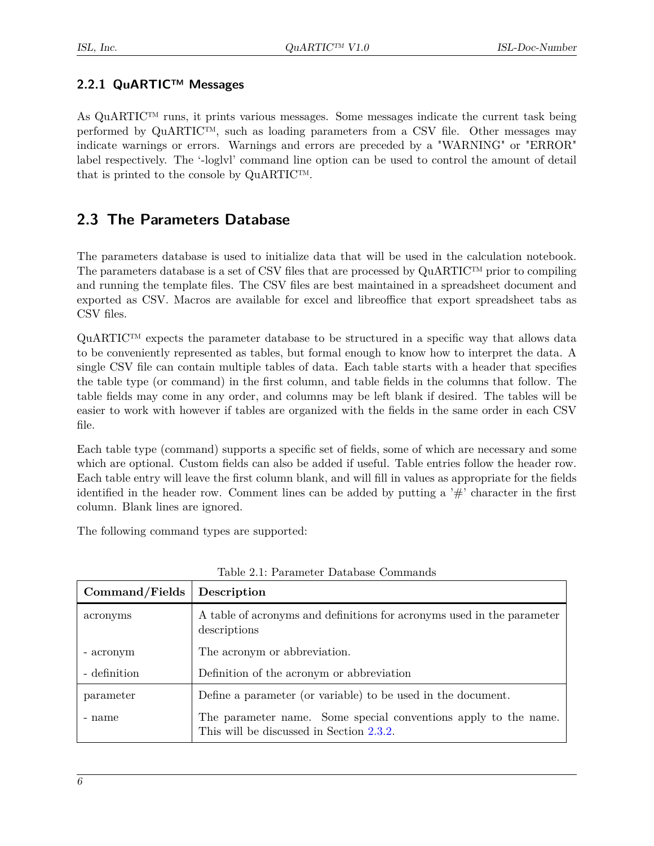#### <span id="page-10-0"></span>**2.2.1 QuARTIC™ Messages**

As QuARTIC™ runs, it prints various messages. Some messages indicate the current task being performed by  $\text{QuARTIC}^{\text{TM}}$ , such as loading parameters from a CSV file. Other messages may indicate warnings or errors. Warnings and errors are preceded by a "WARNING" or "ERROR" label respectively. The '-loglvl' command line option can be used to control the amount of detail that is printed to the console by QuARTIC™.

## <span id="page-10-1"></span>**2.3 The Parameters Database**

The parameters database is used to initialize data that will be used in the calculation notebook. The parameters database is a set of CSV files that are processed by  $\mathbf{QuARTIC^{TM}}$  prior to compiling and running the template files. The CSV files are best maintained in a spreadsheet document and exported as CSV. Macros are available for excel and libreoffice that export spreadsheet tabs as CSV files.

QuARTIC™ expects the parameter database to be structured in a specific way that allows data to be conveniently represented as tables, but formal enough to know how to interpret the data. A single CSV file can contain multiple tables of data. Each table starts with a header that specifies the table type (or command) in the first column, and table fields in the columns that follow. The table fields may come in any order, and columns may be left blank if desired. The tables will be easier to work with however if tables are organized with the fields in the same order in each CSV file.

Each table type (command) supports a specific set of fields, some of which are necessary and some which are optional. Custom fields can also be added if useful. Table entries follow the header row. Each table entry will leave the first column blank, and will fill in values as appropriate for the fields identified in the header row. Comment lines can be added by putting a  $\#$  character in the first column. Blank lines are ignored.

The following command types are supported:

| Command/Fields | Description                                                                                                 |
|----------------|-------------------------------------------------------------------------------------------------------------|
| acronyms       | A table of acronyms and definitions for acronyms used in the parameter<br>descriptions                      |
| - acronym      | The acronym or abbreviation.                                                                                |
| - definition   | Definition of the acronym or abbreviation                                                                   |
| parameter      | Define a parameter (or variable) to be used in the document.                                                |
| - name         | The parameter name. Some special conventions apply to the name.<br>This will be discussed in Section 2.3.2. |

| Table 2.1: Parameter Database Commands |  |
|----------------------------------------|--|
|----------------------------------------|--|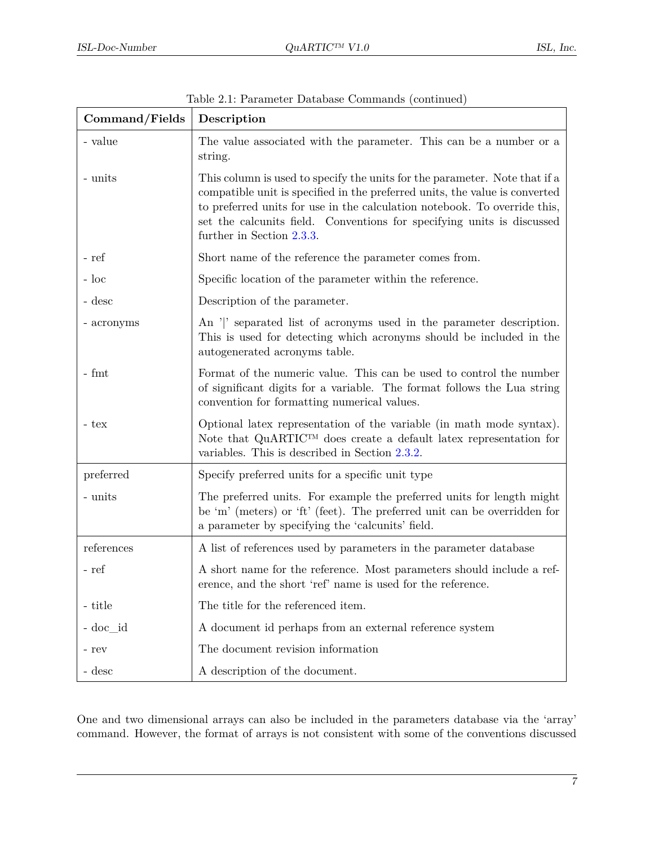| Command/Fields | Description                                                                                                                                                                                                                                                                                                                                   |
|----------------|-----------------------------------------------------------------------------------------------------------------------------------------------------------------------------------------------------------------------------------------------------------------------------------------------------------------------------------------------|
| - value        | The value associated with the parameter. This can be a number or a<br>string.                                                                                                                                                                                                                                                                 |
| - units        | This column is used to specify the units for the parameter. Note that if a<br>compatible unit is specified in the preferred units, the value is converted<br>to preferred units for use in the calculation notebook. To override this,<br>set the calcunits field. Conventions for specifying units is discussed<br>further in Section 2.3.3. |
| - ref          | Short name of the reference the parameter comes from.                                                                                                                                                                                                                                                                                         |
| $-$ loc        | Specific location of the parameter within the reference.                                                                                                                                                                                                                                                                                      |
| - desc         | Description of the parameter.                                                                                                                                                                                                                                                                                                                 |
| - acronyms     | An ' ' separated list of acronyms used in the parameter description.<br>This is used for detecting which acronyms should be included in the<br>autogenerated acronyms table.                                                                                                                                                                  |
| $-$ fmt        | Format of the numeric value. This can be used to control the number<br>of significant digits for a variable. The format follows the Lua string<br>convention for formatting numerical values.                                                                                                                                                 |
| - tex          | Optional latex representation of the variable (in math mode syntax).<br>Note that QuARTICTM does create a default latex representation for<br>variables. This is described in Section 2.3.2.                                                                                                                                                  |
| preferred      | Specify preferred units for a specific unit type                                                                                                                                                                                                                                                                                              |
| - units        | The preferred units. For example the preferred units for length might<br>be 'm' (meters) or 'ft' (feet). The preferred unit can be overridden for<br>a parameter by specifying the 'calcunits' field.                                                                                                                                         |
| references     | A list of references used by parameters in the parameter database                                                                                                                                                                                                                                                                             |
| - ref          | A short name for the reference. Most parameters should include a ref-<br>erence, and the short 'ref' name is used for the reference                                                                                                                                                                                                           |
| - title        | The title for the referenced item.                                                                                                                                                                                                                                                                                                            |
| - doc id       | A document id perhaps from an external reference system                                                                                                                                                                                                                                                                                       |
| - rev          | The document revision information                                                                                                                                                                                                                                                                                                             |
| - desc         | A description of the document.                                                                                                                                                                                                                                                                                                                |

Table 2.1: Parameter Database Commands (continued)

One and two dimensional arrays can also be included in the parameters database via the 'array' command. However, the format of arrays is not consistent with some of the conventions discussed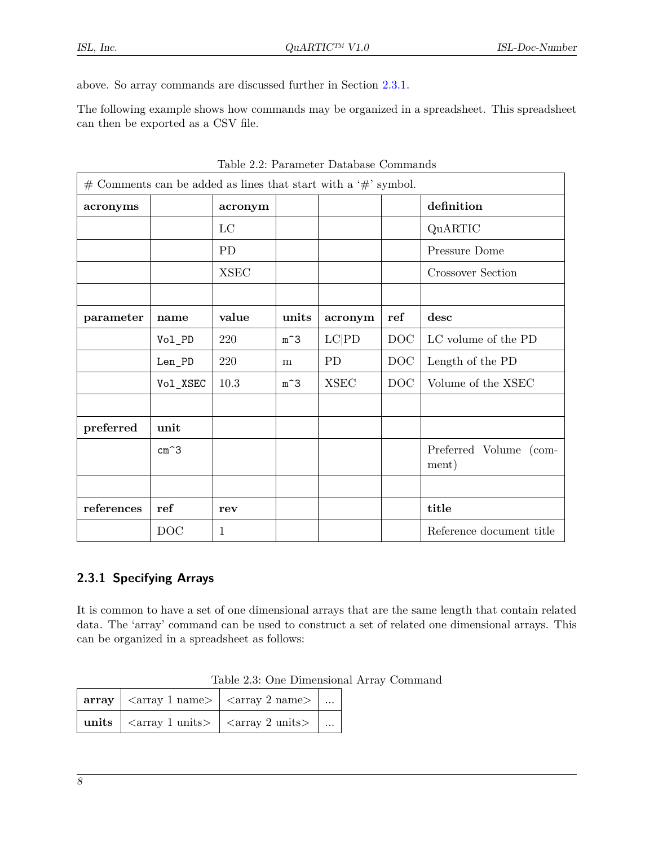above. So array commands are discussed further in Section [2.3.1.](#page-12-0)

The following example shows how commands may be organized in a spreadsheet. This spreadsheet can then be exported as a CSV file.

| $#$ Comments can be added as lines that start with a ' $#$ ' symbol. |                |              |       |             |            |                                 |
|----------------------------------------------------------------------|----------------|--------------|-------|-------------|------------|---------------------------------|
| acronyms                                                             |                | acronym      |       |             |            | definition                      |
|                                                                      |                | $_{\rm LC}$  |       |             |            | QuARTIC                         |
|                                                                      |                | <b>PD</b>    |       |             |            | Pressure Dome                   |
|                                                                      |                | <b>XSEC</b>  |       |             |            | Crossover Section               |
|                                                                      |                |              |       |             |            |                                 |
| parameter                                                            | name           | value        | units | acronym     | ref        | desc                            |
|                                                                      | Vol_PD         | 220          | $m^3$ | LC PD       | <b>DOC</b> | LC volume of the PD             |
|                                                                      | Len_PD         | 220          | m     | PD          | <b>DOC</b> | Length of the PD                |
|                                                                      | Vol_XSEC       | 10.3         | $m^3$ | <b>XSEC</b> | DOC        | Volume of the XSEC              |
|                                                                      |                |              |       |             |            |                                 |
| preferred                                                            | unit           |              |       |             |            |                                 |
|                                                                      | $cm^{\frown}3$ |              |       |             |            | Preferred Volume (com-<br>ment) |
|                                                                      |                |              |       |             |            |                                 |
| references                                                           | ref            | rev          |       |             |            | title                           |
|                                                                      | DOC            | $\mathbf{1}$ |       |             |            | Reference document title        |

Table 2.2: Parameter Database Commands

#### <span id="page-12-0"></span>**2.3.1 Specifying Arrays**

It is common to have a set of one dimensional arrays that are the same length that contain related data. The 'array' command can be used to construct a set of related one dimensional arrays. This can be organized in a spreadsheet as follows:

|  | $\left  \text{array} \right $ $\left  \text{array 1 name} \right $ $\left  \text{array 2 name} \right $ |  |
|--|---------------------------------------------------------------------------------------------------------|--|
|  | units $\vert$ <array 1="" <math="" units="">\vert <array 2="" <math="" units="">\vert </array></array>  |  |

|  |  | Table 2.3: One Dimensional Array Command |  |  |
|--|--|------------------------------------------|--|--|
|--|--|------------------------------------------|--|--|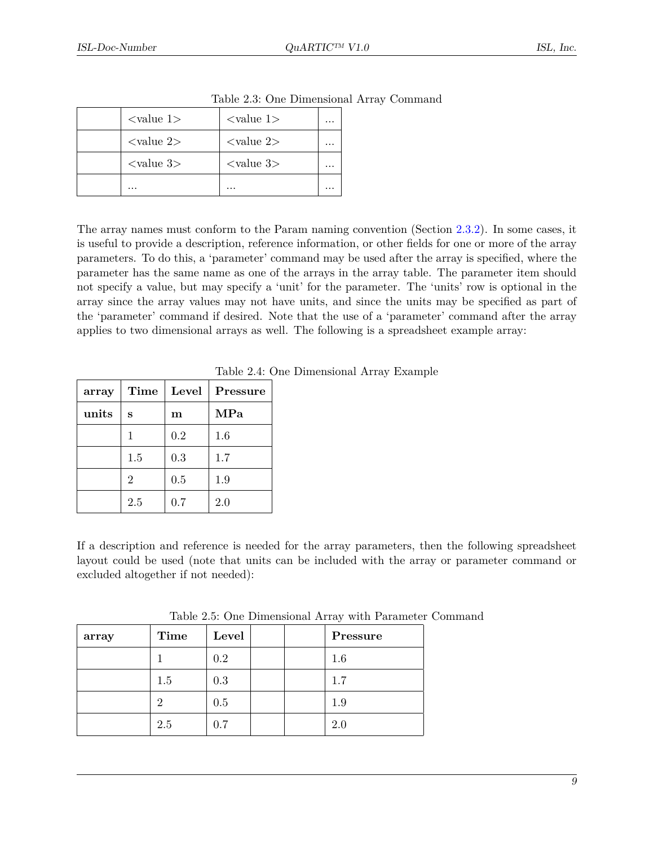| $\langle$ value 1 $\rangle$ | $\langle$ value 1>          | $\cdots$ |
|-----------------------------|-----------------------------|----------|
| $\langle$ value 2>          | $\langle$ value 2>          | $\cdots$ |
| $<$ value 3 $>$             | $\langle$ value 3 $\rangle$ | $\cdots$ |
| $\cdots$                    |                             | $\cdots$ |

|  |  | Table 2.3: One Dimensional Array Command |  |  |
|--|--|------------------------------------------|--|--|
|--|--|------------------------------------------|--|--|

The array names must conform to the Param naming convention (Section [2.3.2\)](#page-15-0). In some cases, it is useful to provide a description, reference information, or other fields for one or more of the array parameters. To do this, a 'parameter' command may be used after the array is specified, where the parameter has the same name as one of the arrays in the array table. The parameter item should not specify a value, but may specify a 'unit' for the parameter. The 'units' row is optional in the array since the array values may not have units, and since the units may be specified as part of the 'parameter' command if desired. Note that the use of a 'parameter' command after the array applies to two dimensional arrays as well. The following is a spreadsheet example array:

| array | Time           | Level | Pressure |
|-------|----------------|-------|----------|
| units | S              | m     | MPa      |
|       | 1              | 0.2   | 1.6      |
|       | 1.5            | 0.3   | 1.7      |
|       | $\overline{2}$ | 0.5   | 1.9      |
|       | 2.5            | 0.7   | 2.0      |

Table 2.4: One Dimensional Array Example

If a description and reference is needed for the array parameters, then the following spreadsheet layout could be used (note that units can be included with the array or parameter command or excluded altogether if not needed):

| array | Time | Level | Pressure |
|-------|------|-------|----------|
|       |      | 0.2   | 1.6      |
|       | 1.5  | 0.3   | 1.7      |
|       | 2    | 0.5   | 1.9      |
|       | 2.5  | 0.7   | 2.0      |

Table 2.5: One Dimensional Array with Parameter Command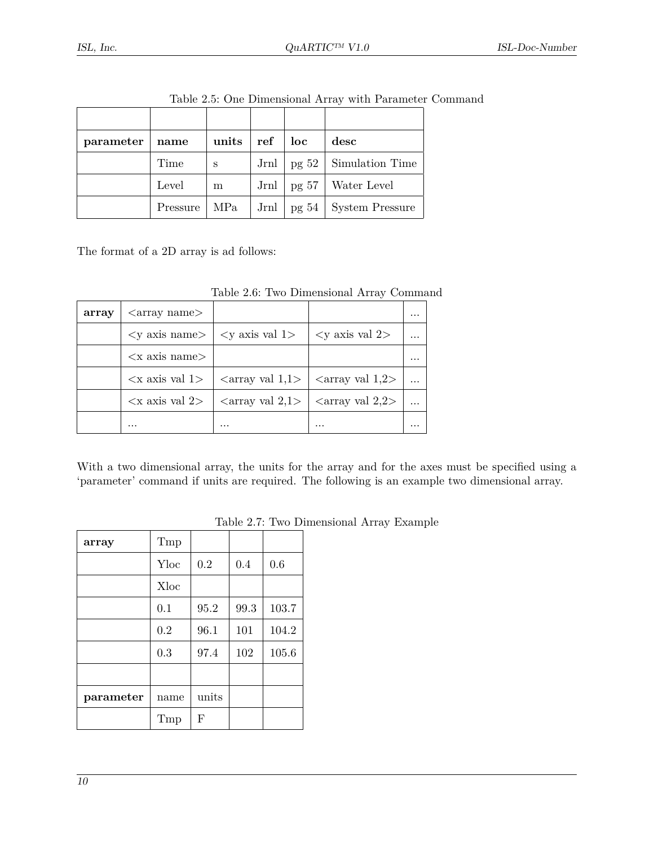| parameter | name     | units | ref  | loc | desc                    |
|-----------|----------|-------|------|-----|-------------------------|
|           | Time     | S     | Jrnl |     | pg 52   Simulation Time |
|           | Level    | m     | Jrnl |     | pg 57   Water Level     |
|           | Pressure | MPa   | Jrnl |     | pg 54   System Pressure |

Table 2.5: One Dimensional Array with Parameter Command

The format of a 2D array is ad follows:

| Table 2.6: Two Dimensional Array Command |  |
|------------------------------------------|--|
|------------------------------------------|--|

| array | $\langle$ array name $\rangle$   |                                                                                                                           |                                                                                 |  |
|-------|----------------------------------|---------------------------------------------------------------------------------------------------------------------------|---------------------------------------------------------------------------------|--|
|       |                                  | $\langle y \rangle$ axis name $\langle y \rangle$ axis valued $\langle y \rangle$ axis valued $\langle y \rangle$         |                                                                                 |  |
|       | $\langle x \rangle$ axis name    |                                                                                                                           |                                                                                 |  |
|       | $\langle x \rangle$ axis val 1 > |                                                                                                                           | $\langle \text{array val } 1,1 \rangle$ $\langle \text{array val } 1,2 \rangle$ |  |
|       |                                  | $\langle x \rangle$ axis val 2> $\langle x \rangle$ $\langle x \rangle$ array val 2,1> $\langle x \rangle$ array val 2,2> |                                                                                 |  |
|       | $\cdots$                         | $\cdots$                                                                                                                  | .                                                                               |  |

With a two dimensional array, the units for the array and for the axes must be specified using a 'parameter' command if units are required. The following is an example two dimensional array.

| array     | Tmp  |       |      |       |
|-----------|------|-------|------|-------|
|           | Yloc | 0.2   | 0.4  | 0.6   |
|           | Xloc |       |      |       |
|           | 0.1  | 95.2  | 99.3 | 103.7 |
|           | 0.2  | 96.1  | 101  | 104.2 |
|           | 0.3  | 97.4  | 102  | 105.6 |
|           |      |       |      |       |
| parameter | name | units |      |       |
|           | Tmp  | F     |      |       |

Table 2.7: Two Dimensional Array Example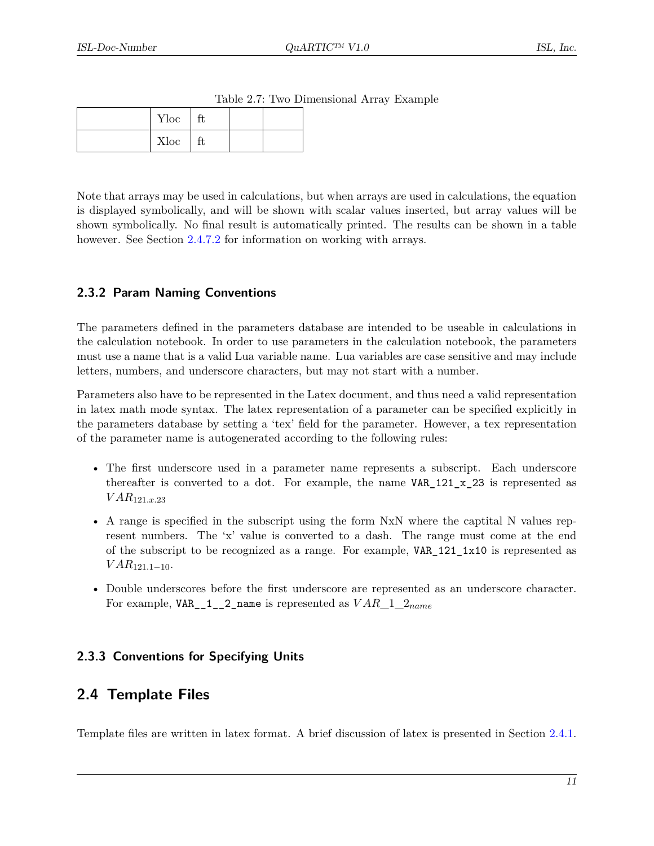| $Yloc$   ft |    |  |
|-------------|----|--|
| Xloc        | ft |  |

Table 2.7: Two Dimensional Array Example

Note that arrays may be used in calculations, but when arrays are used in calculations, the equation is displayed symbolically, and will be shown with scalar values inserted, but array values will be shown symbolically. No final result is automatically printed. The results can be shown in a table however. See Section [2.4.7.2](#page-32-0) for information on working with arrays.

#### <span id="page-15-0"></span>**2.3.2 Param Naming Conventions**

The parameters defined in the parameters database are intended to be useable in calculations in the calculation notebook. In order to use parameters in the calculation notebook, the parameters must use a name that is a valid Lua variable name. Lua variables are case sensitive and may include letters, numbers, and underscore characters, but may not start with a number.

Parameters also have to be represented in the Latex document, and thus need a valid representation in latex math mode syntax. The latex representation of a parameter can be specified explicitly in the parameters database by setting a 'tex' field for the parameter. However, a tex representation of the parameter name is autogenerated according to the following rules:

- The first underscore used in a parameter name represents a subscript. Each underscore thereafter is converted to a dot. For example, the name VAR  $121 \times 23$  is represented as  $VAR_{121,x,23}$
- A range is specified in the subscript using the form NxN where the captital N values represent numbers. The 'x' value is converted to a dash. The range must come at the end of the subscript to be recognized as a range. For example, VAR\_121\_1x10 is represented as  $VAR_{121.1-10}.$
- Double underscores before the first underscore are represented as an underscore character. For example,  $VAR_1_2_2_$  name is represented as  $VAR_1_2_{name}$

#### <span id="page-15-1"></span>**2.3.3 Conventions for Specifying Units**

## <span id="page-15-2"></span>**2.4 Template Files**

Template files are written in latex format. A brief discussion of latex is presented in Section [2.4.1.](#page-16-0)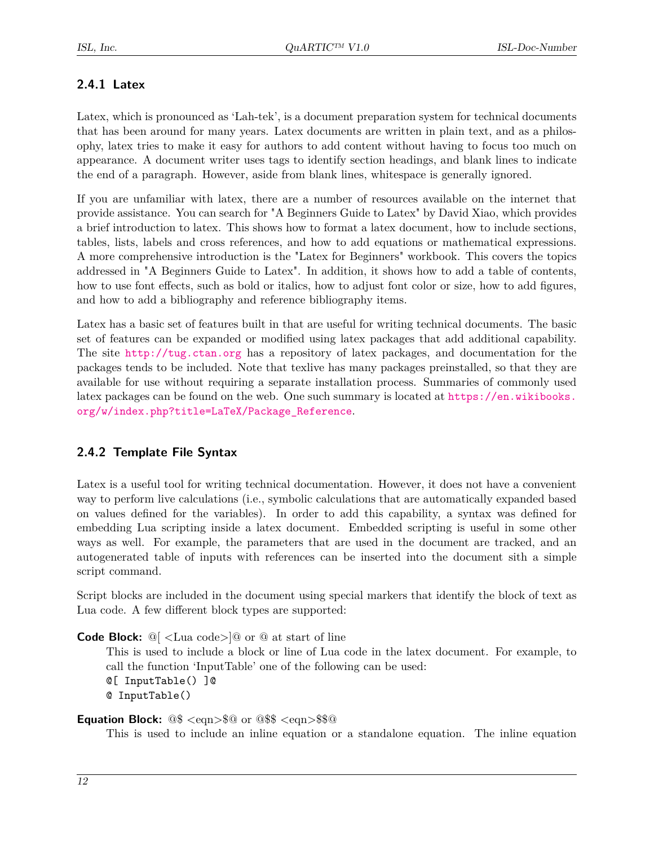#### <span id="page-16-0"></span>**2.4.1 Latex**

Latex, which is pronounced as 'Lah-tek', is a document preparation system for technical documents that has been around for many years. Latex documents are written in plain text, and as a philosophy, latex tries to make it easy for authors to add content without having to focus too much on appearance. A document writer uses tags to identify section headings, and blank lines to indicate the end of a paragraph. However, aside from blank lines, whitespace is generally ignored.

If you are unfamiliar with latex, there are a number of resources available on the internet that provide assistance. You can search for "A Beginners Guide to Latex" by David Xiao, which provides a brief introduction to latex. This shows how to format a latex document, how to include sections, tables, lists, labels and cross references, and how to add equations or mathematical expressions. A more comprehensive introduction is the "Latex for Beginners" workbook. This covers the topics addressed in "A Beginners Guide to Latex". In addition, it shows how to add a table of contents, how to use font effects, such as bold or italics, how to adjust font color or size, how to add figures, and how to add a bibliography and reference bibliography items.

Latex has a basic set of features built in that are useful for writing technical documents. The basic set of features can be expanded or modified using latex packages that add additional capability. The site <http://tug.ctan.org> has a repository of latex packages, and documentation for the packages tends to be included. Note that texlive has many packages preinstalled, so that they are available for use without requiring a separate installation process. Summaries of commonly used latex packages can be found on the web. One such summary is located at [https://en.wikibooks.](https://en.wikibooks.org/w/index.php?title=LaTeX/Package_Reference) [org/w/index.php?title=LaTeX/Package\\_Reference](https://en.wikibooks.org/w/index.php?title=LaTeX/Package_Reference).

#### <span id="page-16-1"></span>**2.4.2 Template File Syntax**

Latex is a useful tool for writing technical documentation. However, it does not have a convenient way to perform live calculations (i.e., symbolic calculations that are automatically expanded based on values defined for the variables). In order to add this capability, a syntax was defined for embedding Lua scripting inside a latex document. Embedded scripting is useful in some other ways as well. For example, the parameters that are used in the document are tracked, and an autogenerated table of inputs with references can be inserted into the document sith a simple script command.

Script blocks are included in the document using special markers that identify the block of text as Lua code. A few different block types are supported:

**Code Block:** @[ <Lua code>]@ or @ at start of line

This is used to include a block or line of Lua code in the latex document. For example, to call the function 'InputTable' one of the following can be used: @[ InputTable() ]@ @ InputTable()

#### **Equation Block:** @\$ <eqn>\$@ or @\$\$ <eqn>\$\$@

This is used to include an inline equation or a standalone equation. The inline equation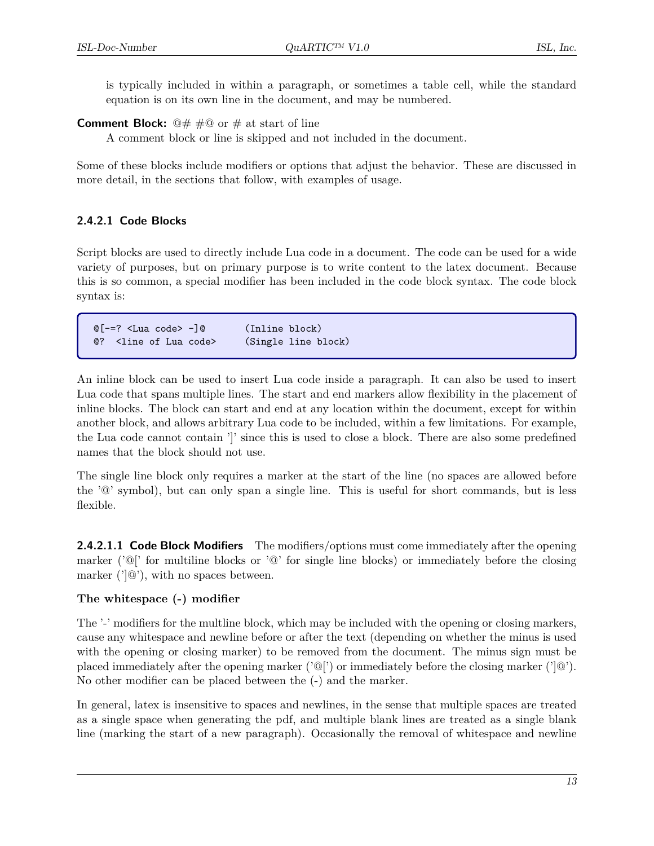is typically included in within a paragraph, or sometimes a table cell, while the standard equation is on its own line in the document, and may be numbered.

**Comment Block:**  $\mathbb{Q} \# \# \mathbb{Q}$  or  $\#$  at start of line

A comment block or line is skipped and not included in the document.

Some of these blocks include modifiers or options that adjust the behavior. These are discussed in more detail, in the sections that follow, with examples of usage.

#### <span id="page-17-0"></span>**2.4.2.1 Code Blocks**

Script blocks are used to directly include Lua code in a document. The code can be used for a wide variety of purposes, but on primary purpose is to write content to the latex document. Because this is so common, a special modifier has been included in the code block syntax. The code block syntax is:

@[-=? <Lua code> -]@ (Inline block) @? <line of Lua code> (Single line block)

An inline block can be used to insert Lua code inside a paragraph. It can also be used to insert Lua code that spans multiple lines. The start and end markers allow flexibility in the placement of inline blocks. The block can start and end at any location within the document, except for within another block, and allows arbitrary Lua code to be included, within a few limitations. For example, the Lua code cannot contain ']' since this is used to close a block. There are also some predefined names that the block should not use.

The single line block only requires a marker at the start of the line (no spaces are allowed before the '@' symbol), but can only span a single line. This is useful for short commands, but is less flexible.

<span id="page-17-1"></span>**2.4.2.1.1 Code Block Modifiers** The modifiers/options must come immediately after the opening marker ( $\langle \hat{\mathcal{O}} \rangle$  for multiline blocks or  $\langle \hat{\mathcal{O}} \rangle$  for single line blocks) or immediately before the closing marker  $('|@')$ , with no spaces between.

#### **The whitespace (-) modifier**

The '-' modifiers for the multline block, which may be included with the opening or closing markers, cause any whitespace and newline before or after the text (depending on whether the minus is used with the opening or closing marker) to be removed from the document. The minus sign must be placed immediately after the opening marker  $(\partial P)$  or immediately before the closing marker  $(\partial P)$ . No other modifier can be placed between the (-) and the marker.

In general, latex is insensitive to spaces and newlines, in the sense that multiple spaces are treated as a single space when generating the pdf, and multiple blank lines are treated as a single blank line (marking the start of a new paragraph). Occasionally the removal of whitespace and newline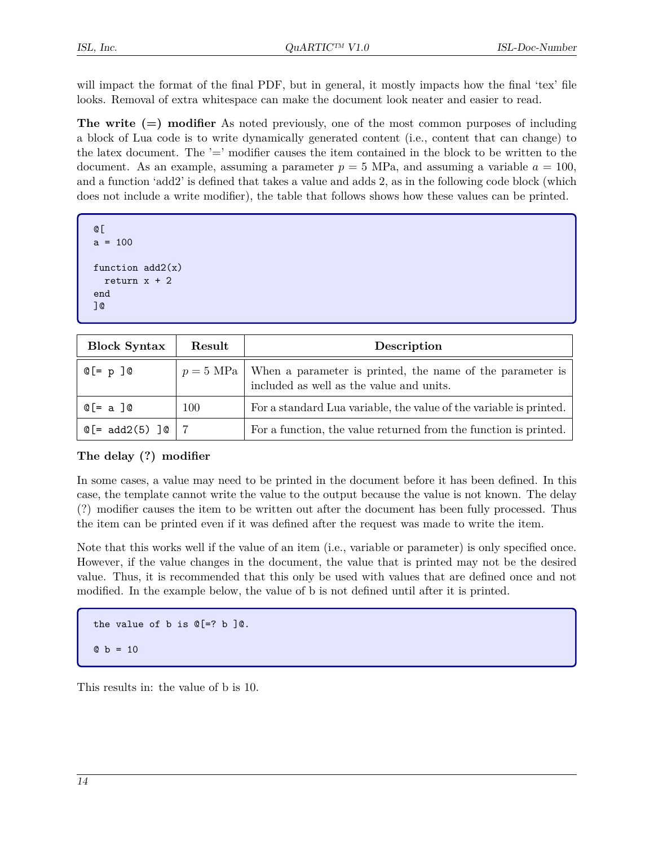will impact the format of the final PDF, but in general, it mostly impacts how the final 'tex' file looks. Removal of extra whitespace can make the document look neater and easier to read.

**The write (=) modifier** As noted previously, one of the most common purposes of including a block of Lua code is to write dynamically generated content (i.e., content that can change) to the latex document. The  $=$  modifier causes the item contained in the block to be written to the document. As an example, assuming a parameter  $p = 5$  MPa, and assuming a variable  $a = 100$ , and a function 'add2' is defined that takes a value and adds 2, as in the following code block (which does not include a write modifier), the table that follows shows how these values can be printed.

```
@[
a = 100function add2(x)return x + 2end
]@
```

| <b>Block Syntax</b>                    | Result    | Description                                                                                           |
|----------------------------------------|-----------|-------------------------------------------------------------------------------------------------------|
| 0[= p ]0                               | $p=5$ MPa | When a parameter is printed, the name of the parameter is<br>included as well as the value and units. |
| $@[= a]@$                              | 100       | For a standard Lua variable, the value of the variable is printed.                                    |
| $\mathbb{Q}$ [= add2(5) ] $\mathbb{Q}$ |           | For a function, the value returned from the function is printed.                                      |

#### **The delay (?) modifier**

In some cases, a value may need to be printed in the document before it has been defined. In this case, the template cannot write the value to the output because the value is not known. The delay (?) modifier causes the item to be written out after the document has been fully processed. Thus the item can be printed even if it was defined after the request was made to write the item.

Note that this works well if the value of an item (i.e., variable or parameter) is only specified once. However, if the value changes in the document, the value that is printed may not be the desired value. Thus, it is recommended that this only be used with values that are defined once and not modified. In the example below, the value of b is not defined until after it is printed.

the value of  $b$  is  $\mathbb{Q}$  =?  $b$  ] $\mathbb{Q}$ .  $Q b = 10$ 

This results in: the value of b is 10.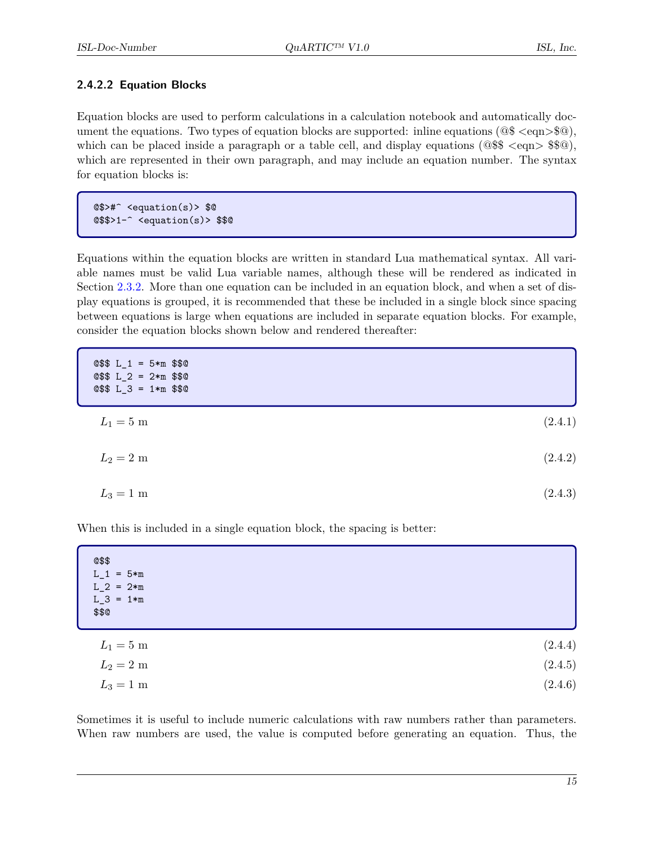#### <span id="page-19-0"></span>**2.4.2.2 Equation Blocks**

Equation blocks are used to perform calculations in a calculation notebook and automatically document the equations. Two types of equation blocks are supported: inline equations  $(\mathbb{Q} \cdot \mathsf{eqn>}\mathbb{S}\mathbb{Q})$ , which can be placed inside a paragraph or a table cell, and display equations ( $@$  $@$  $@$  $\leq$ eqn $>$  $\$  $@$  $@$ ), which are represented in their own paragraph, and may include an equation number. The syntax for equation blocks is:

@\$>#^ <equation(s)> \$@ @\$\$>1-^ <equation(s)> \$\$@

Equations within the equation blocks are written in standard Lua mathematical syntax. All variable names must be valid Lua variable names, although these will be rendered as indicated in Section [2.3.2.](#page-15-0) More than one equation can be included in an equation block, and when a set of display equations is grouped, it is recommended that these be included in a single block since spacing between equations is large when equations are included in separate equation blocks. For example, consider the equation blocks shown below and rendered thereafter:

| $Q$$ L_1 = 5*m$ \$\$0<br>$Q$$ L_2 = 2 * m$ \$\$0<br>$Q$$ L_3 = 1*m$ \$\$0 |         |
|---------------------------------------------------------------------------|---------|
| $L_1 = 5 \text{ m}$                                                       | (2.4.1) |
| $L_2 = 2 \text{ m}$                                                       | (2.4.2) |
| $L_3 = 1 \text{ m}$                                                       | (2.4.3) |

When this is included in a single equation block, the spacing is better:

| @\$\$<br>$L_1 = 5*m$<br>$L_2 = 2*m$<br>$L_3 = 1*m$<br>\$\$@ |         |
|-------------------------------------------------------------|---------|
| $L_1 = 5 \text{ m}$                                         | (2.4.4) |
| $L_2=2$ m                                                   | (2.4.5) |
| $L_3 = 1 \text{ m}$                                         | (2.4.6) |

Sometimes it is useful to include numeric calculations with raw numbers rather than parameters. When raw numbers are used, the value is computed before generating an equation. Thus, the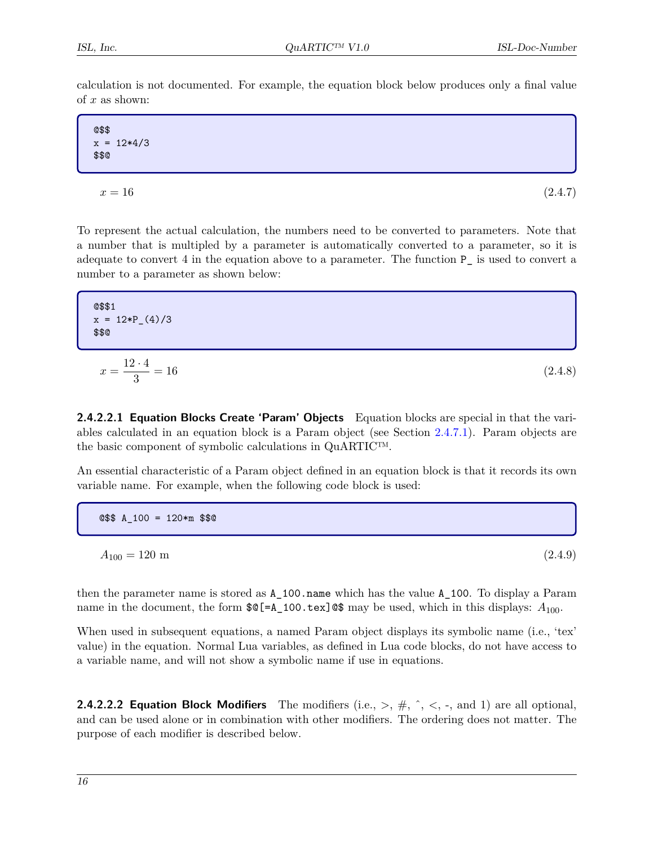calculation is not documented. For example, the equation block below produces only a final value of  $x$  as shown:

@\$\$  $x = 12*4/3$ \$\$@  $x = 16$  (2.4.7)

To represent the actual calculation, the numbers need to be converted to parameters. Note that a number that is multipled by a parameter is automatically converted to a parameter, so it is adequate to convert 4 in the equation above to a parameter. The function P\_ is used to convert a number to a parameter as shown below:

$$
\alpha
$$
 \$1  
 $x = 12*P_4/3$   
\$\$0

$$
x = \frac{12 \cdot 4}{3} = 16\tag{2.4.8}
$$

<span id="page-20-0"></span>**2.4.2.2.1 Equation Blocks Create 'Param' Objects** Equation blocks are special in that the variables calculated in an equation block is a Param object (see Section [2.4.7.1\)](#page-30-1). Param objects are the basic component of symbolic calculations in QuARTIC™.

An essential characteristic of a Param object defined in an equation block is that it records its own variable name. For example, when the following code block is used:

@\$\$ A\_100 = 120\*m \$\$@

 $A_{100} = 120 \text{ m}$  (2.4.9)

then the parameter name is stored as A\_100.name which has the value A\_100. To display a Param name in the document, the form  $\mathcal{E} = A_100 \cdot \text{tex}$  as may be used, which in this displays:  $A_{100}$ .

When used in subsequent equations, a named Param object displays its symbolic name (i.e., 'tex' value) in the equation. Normal Lua variables, as defined in Lua code blocks, do not have access to a variable name, and will not show a symbolic name if use in equations.

<span id="page-20-1"></span>**2.4.2.2.2 Equation Block Modifiers** The modifiers (i.e.,  $>$ ,  $\#$ ,  $\hat{\ }$ ,  $\lt$ ,  $\text{-}$ , and 1) are all optional, and can be used alone or in combination with other modifiers. The ordering does not matter. The purpose of each modifier is described below.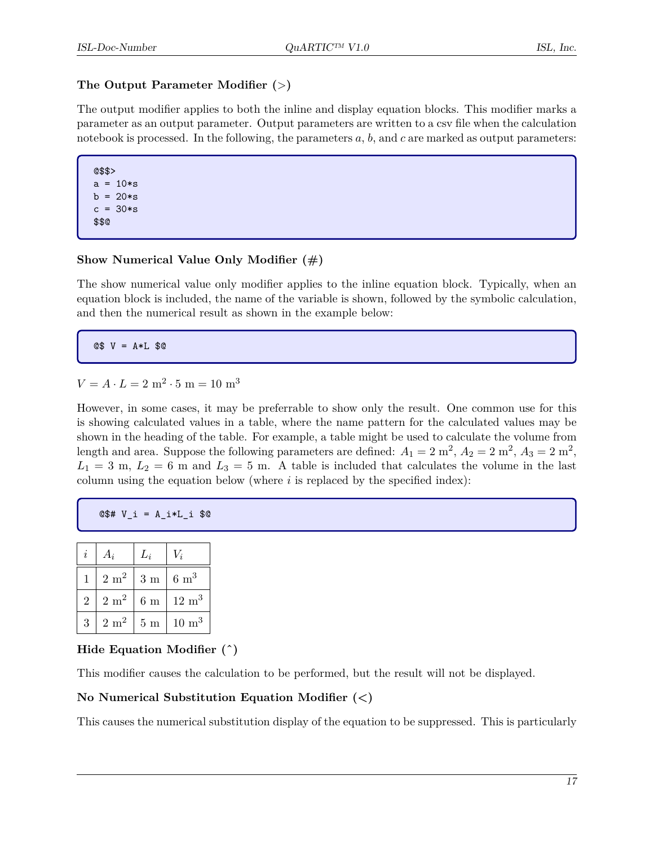#### **The Output Parameter Modifier (**>**)**

The output modifier applies to both the inline and display equation blocks. This modifier marks a parameter as an output parameter. Output parameters are written to a csv file when the calculation notebook is processed. In the following, the parameters  $a, b$ , and  $c$  are marked as output parameters:

@\$\$>  $a = 10*s$  $b = 20*s$  $c = 30*s$ \$\$@

#### **Show Numerical Value Only Modifier (#)**

The show numerical value only modifier applies to the inline equation block. Typically, when an equation block is included, the name of the variable is shown, followed by the symbolic calculation, and then the numerical result as shown in the example below:

@\$ V = A\*L \$@

 $V = A \cdot L = 2 \text{ m}^2 \cdot 5 \text{ m} = 10 \text{ m}^3$ 

However, in some cases, it may be preferrable to show only the result. One common use for this is showing calculated values in a table, where the name pattern for the calculated values may be shown in the heading of the table. For example, a table might be used to calculate the volume from length and area. Suppose the following parameters are defined:  $A_1 = 2 \text{ m}^2$ ,  $A_2 = 2 \text{ m}^2$ ,  $A_3 = 2 \text{ m}^2$ ,  $L_1 = 3$  m,  $L_2 = 6$  m and  $L_3 = 5$  m. A table is included that calculates the volume in the last column using the equation below (where  $i$  is replaced by the specified index):

```
@$# V_i = A_i*L_i $@
```

| i.             | $A_i$           | $L_i$ | $V_i$                |
|----------------|-----------------|-------|----------------------|
| 1              | $2 \text{ m}^2$ | 3m    | $6 \text{ m}^3$      |
| $\overline{2}$ | $2 \text{ m}^2$ | 6m    | $12 \text{ m}^3$     |
| 3              | $2 \text{ m}^2$ | 5m    | $10 \; \mathrm{m}^3$ |

#### **Hide Equation Modifier (ˆ)**

This modifier causes the calculation to be performed, but the result will not be displayed.

#### **No Numerical Substitution Equation Modifier (<)**

This causes the numerical substitution display of the equation to be suppressed. This is particularly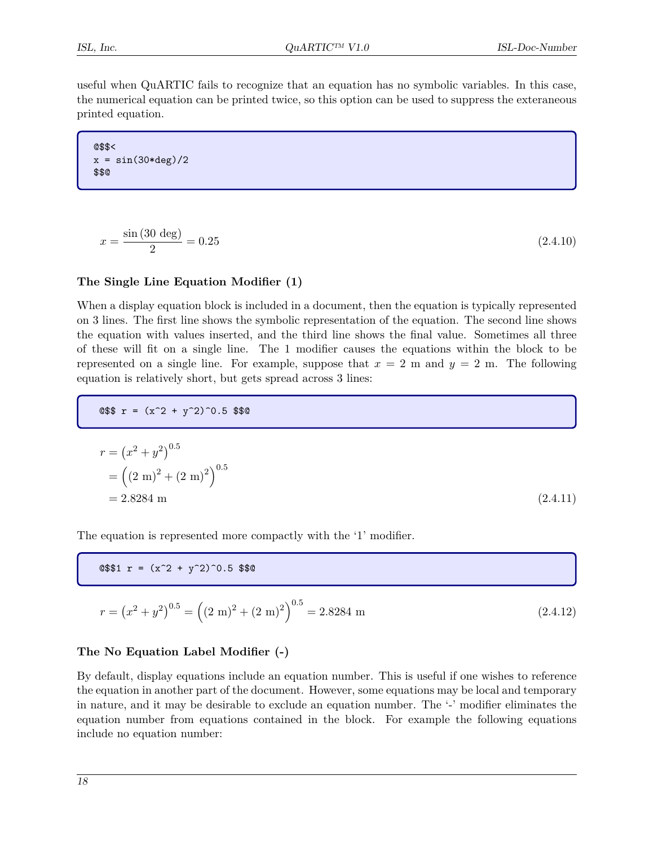useful when QuARTIC fails to recognize that an equation has no symbolic variables. In this case, the numerical equation can be printed twice, so this option can be used to suppress the exteraneous printed equation.

@\$\$<  $x = \sin(30*deg)/2$ \$\$@

$$
x = \frac{\sin(30 \text{ deg})}{2} = 0.25\tag{2.4.10}
$$

#### **The Single Line Equation Modifier (1)**

When a display equation block is included in a document, then the equation is typically represented on 3 lines. The first line shows the symbolic representation of the equation. The second line shows the equation with values inserted, and the third line shows the final value. Sometimes all three of these will fit on a single line. The 1 modifier causes the equations within the block to be represented on a single line. For example, suppose that  $x = 2$  m and  $y = 2$  m. The following equation is relatively short, but gets spread across 3 lines:

 $Q$$r = (x^2 + y^2)^0.5$  \$\$0

$$
r = (x2 + y2)0.5
$$
  
=  $((2 \text{ m})2 + (2 \text{ m})2)0.5$   
= 2.8284 m (2.4.11)

The equation is represented more compactly with the '1' modifier.

 $@$ \$\$1 r =  $(x^2 + y^2)$  0.5 \$\$0

$$
r = (x^{2} + y^{2})^{0.5} = ((2 \text{ m})^{2} + (2 \text{ m})^{2})^{0.5} = 2.8284 \text{ m}
$$
\n(2.4.12)

#### **The No Equation Label Modifier (-)**

By default, display equations include an equation number. This is useful if one wishes to reference the equation in another part of the document. However, some equations may be local and temporary in nature, and it may be desirable to exclude an equation number. The '-' modifier eliminates the equation number from equations contained in the block. For example the following equations include no equation number: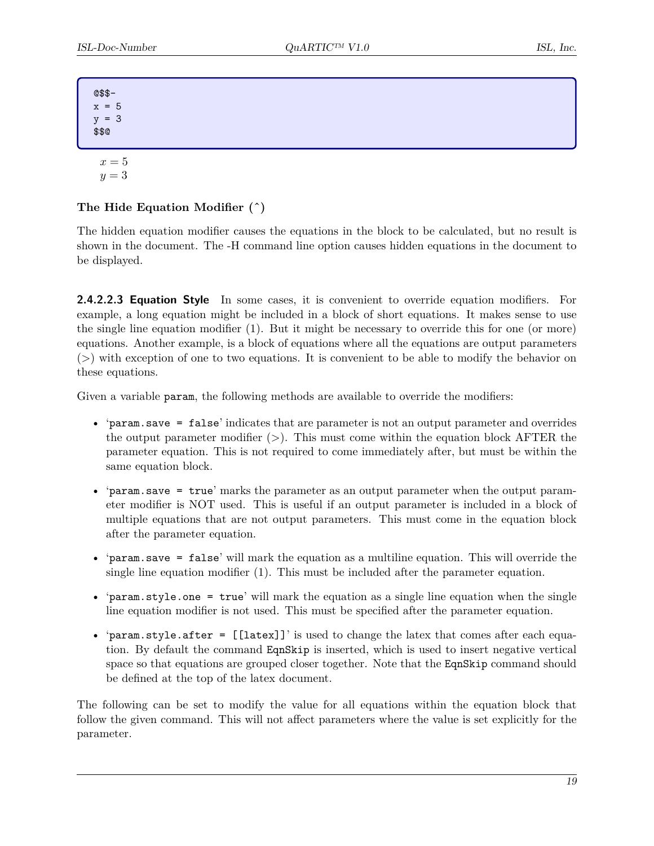@\$\$  $x = 5$  $y = 3$ \$\$@

 $x = 5$ 

## $y = 3$

#### **The Hide Equation Modifier (ˆ)**

The hidden equation modifier causes the equations in the block to be calculated, but no result is shown in the document. The -H command line option causes hidden equations in the document to be displayed.

<span id="page-23-0"></span>**2.4.2.2.3 Equation Style** In some cases, it is convenient to override equation modifiers. For example, a long equation might be included in a block of short equations. It makes sense to use the single line equation modifier (1). But it might be necessary to override this for one (or more) equations. Another example, is a block of equations where all the equations are output parameters  $(>)$  with exception of one to two equations. It is convenient to be able to modify the behavior on these equations.

Given a variable param, the following methods are available to override the modifiers:

- 'param.save = false' indicates that are parameter is not an output parameter and overrides the output parameter modifier  $(>)$ . This must come within the equation block AFTER the parameter equation. This is not required to come immediately after, but must be within the same equation block.
- 'param.save = true' marks the parameter as an output parameter when the output parameter modifier is NOT used. This is useful if an output parameter is included in a block of multiple equations that are not output parameters. This must come in the equation block after the parameter equation.
- 'param.save = false' will mark the equation as a multiline equation. This will override the single line equation modifier (1). This must be included after the parameter equation.
- 'param.style.one = true' will mark the equation as a single line equation when the single line equation modifier is not used. This must be specified after the parameter equation.
- 'param.style.after = [[latex]]' is used to change the latex that comes after each equation. By default the command EqnSkip is inserted, which is used to insert negative vertical space so that equations are grouped closer together. Note that the EqnSkip command should be defined at the top of the latex document.

The following can be set to modify the value for all equations within the equation block that follow the given command. This will not affect parameters where the value is set explicitly for the parameter.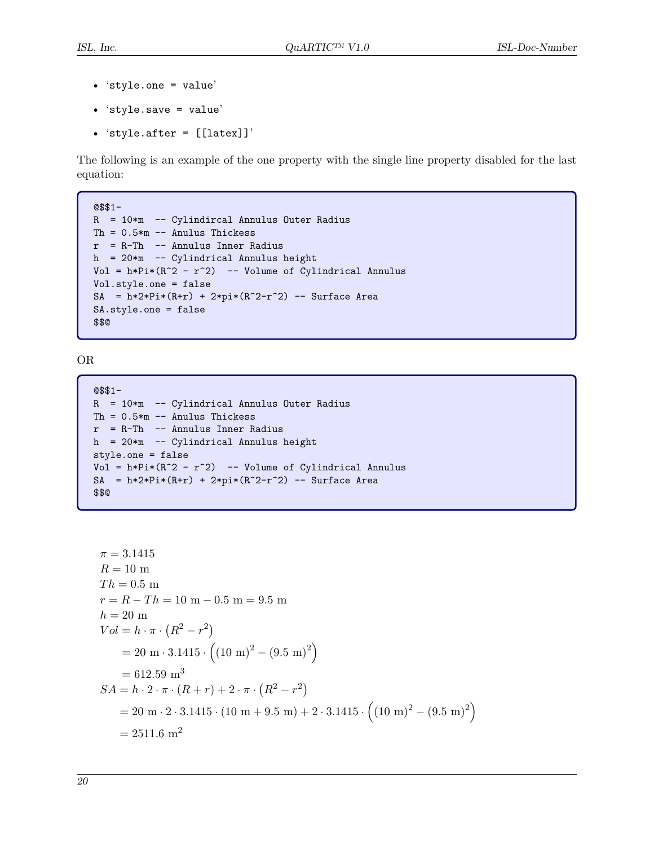- 'style.one = value'
- 'style.save = value'
- 'style.after = [[latex]]'

The following is an example of the one property with the single line property disabled for the last equation:

```
@$$1-
R = 10*m -- Cylindircal Annulus Outer Radius
Th = 0.5*m -- Anulus Thickess
r = R-Th -- Annulus Inner Radius
h = 20*m -- Cylindrical Annulus height
Vol = h*Pi*(R^2 - r^2) -- Volume of Cylindrical Annulus
Vol.style.one = false
SA = h*2*Pi*(R+r) + 2*pi*(R^2-r^2) -- Surface Area
SA.style.one = false
$$@
```
OR

```
@$$1-
R = 10*m -- Cylindrical Annulus Outer Radius
Th = 0.5*m -- Anulus Thickess
r = R-Th -- Annulus Inner Radius
h = 20*m -- Cylindrical Annulus height
style.one = false
Vol = h*Pi*(R^2 - r^2) -- Volume of Cylindrical Annulus
SA = h*2*Pi*(R+r) + 2*pi*(R^2-r^2) -- Surface Area$$@
```

```
\pi = 3.1415R = 10 m
Th = 0.5 m
r = R - Th = 10 m - 0.5 m = 9.5 m
h = 20 m
Vol = h \cdot \pi \cdot (R^2 - r^2)= 20 \text{ m} \cdot 3.1415 \cdot \left( (10 \text{ m})^2 - (9.5 \text{ m})^2 \right)= 612.59 m<sup>3</sup>
SA = h \cdot 2 \cdot \pi \cdot (R+r) + 2 \cdot \pi \cdot (R^2 - r^2)= 20 \text{ m} \cdot 2 \cdot 3.1415 \cdot (10 \text{ m} + 9.5 \text{ m}) + 2 \cdot 3.1415 \cdot ((10 \text{ m})^2 - (9.5 \text{ m})^2)= 2511.6 m<sup>2</sup>
```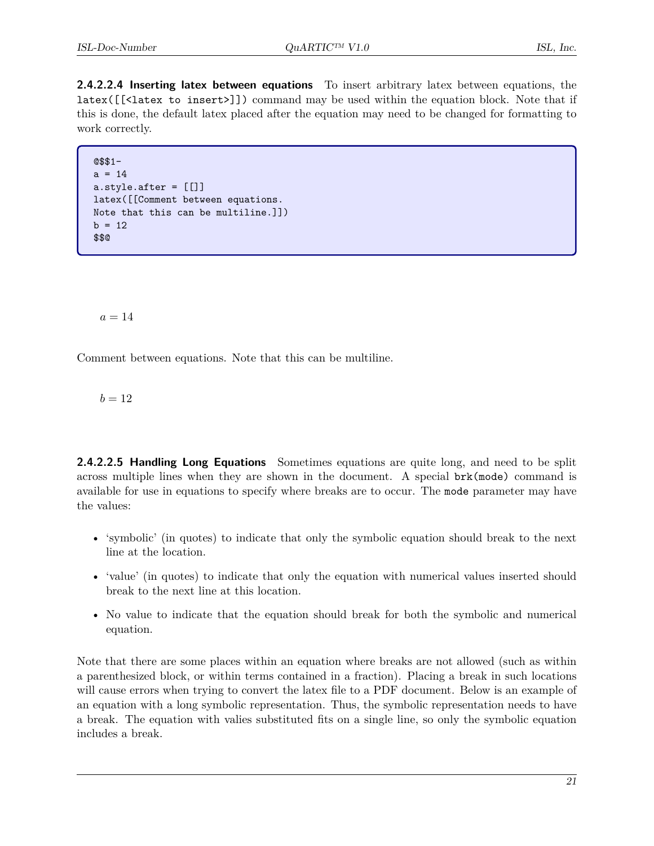<span id="page-25-0"></span>**2.4.2.2.4 Inserting latex between equations** To insert arbitrary latex between equations, the latex([[<latex to insert>]]) command may be used within the equation block. Note that if this is done, the default latex placed after the equation may need to be changed for formatting to work correctly.

```
@$$1-
a = 14a.style.after = [[]]
latex([[Comment between equations.
Note that this can be multiline.]])
b = 12$$@
```
 $a = 14$ 

Comment between equations. Note that this can be multiline.

 $b = 12$ 

<span id="page-25-1"></span>**2.4.2.2.5 Handling Long Equations** Sometimes equations are quite long, and need to be split across multiple lines when they are shown in the document. A special brk(mode) command is available for use in equations to specify where breaks are to occur. The mode parameter may have the values:

- 'symbolic' (in quotes) to indicate that only the symbolic equation should break to the next line at the location.
- 'value' (in quotes) to indicate that only the equation with numerical values inserted should break to the next line at this location.
- No value to indicate that the equation should break for both the symbolic and numerical equation.

Note that there are some places within an equation where breaks are not allowed (such as within a parenthesized block, or within terms contained in a fraction). Placing a break in such locations will cause errors when trying to convert the latex file to a PDF document. Below is an example of an equation with a long symbolic representation. Thus, the symbolic representation needs to have a break. The equation with valies substituted fits on a single line, so only the symbolic equation includes a break.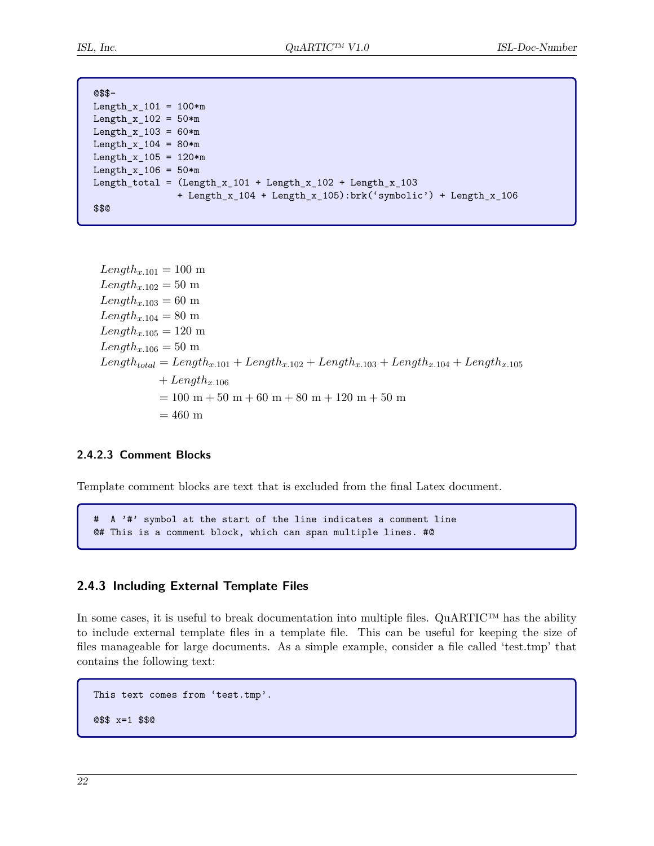| $@$$-$                       |                                                               |
|------------------------------|---------------------------------------------------------------|
| Length x $101 = 100*m$       |                                                               |
| Length_x_102 = $50*m$        |                                                               |
| Length x $103 = 60 \times m$ |                                                               |
| $Length_x_104 = 80*m$        |                                                               |
| Length_x_105 = $120*m$       |                                                               |
| Length x $106 = 50 \times m$ |                                                               |
|                              | Length_total = $(Length_x_101 + Length_x_102 + Length_x_103$  |
|                              | + Length_x_104 + Length_x_105):brk('symbolic') + Length_x_106 |
| \$\$0                        |                                                               |

 $Length_{x.101} = 100 \text{ m}$  $Length_{x,102} = 50 \text{ m}$  $Length_{x,103} = 60$  m  $Length_{x.104} = 80$  m  $Length_{x,105} = 120 \text{ m}$  $Length_{x.106} = 50$  m  $Length_{total} = Length_{x.101} + Length_{x.102} + Length_{x.103} + Length_{x.104} + Length_{x.104}$  $+ Length_{x,106}$  $= 100~\mathrm{m} + 50~\mathrm{m} + 60~\mathrm{m} + 80~\mathrm{m} + 120~\mathrm{m} + 50~\mathrm{m}$  $= 460 \text{ m}$ 

#### <span id="page-26-0"></span>**2.4.2.3 Comment Blocks**

Template comment blocks are text that is excluded from the final Latex document.

# A '#' symbol at the start of the line indicates a comment line @# This is a comment block, which can span multiple lines. #@

#### <span id="page-26-1"></span>**2.4.3 Including External Template Files**

In some cases, it is useful to break documentation into multiple files. QuARTIC™ has the ability to include external template files in a template file. This can be useful for keeping the size of files manageable for large documents. As a simple example, consider a file called 'test.tmp' that contains the following text:

```
This text comes from 'test.tmp'.
@$$ x=1 $$@
```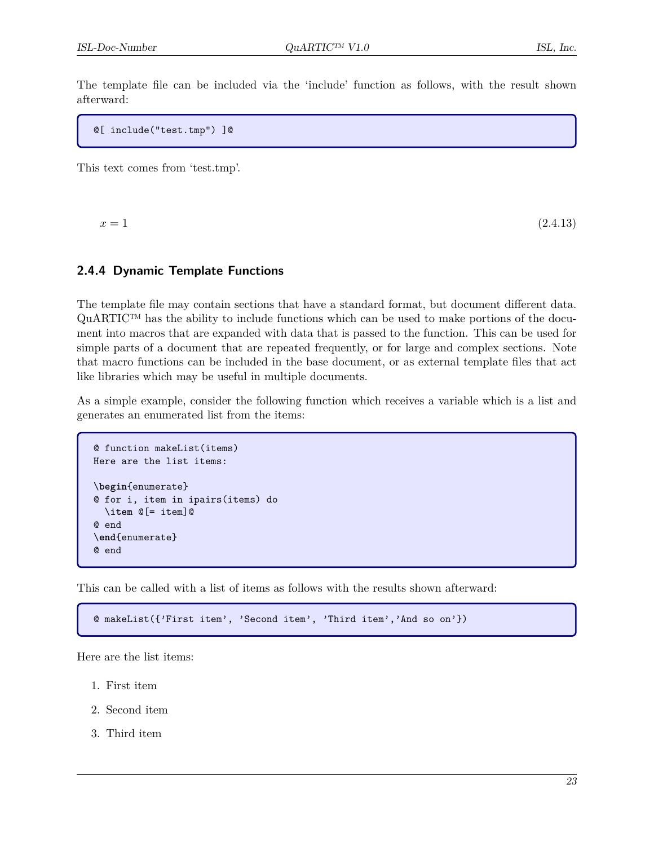The template file can be included via the 'include' function as follows, with the result shown afterward:

@[ include("test.tmp") ]@

This text comes from 'test.tmp'.

 $x = 1$  (2.4.13)

#### <span id="page-27-0"></span>**2.4.4 Dynamic Template Functions**

The template file may contain sections that have a standard format, but document different data. QuARTIC™ has the ability to include functions which can be used to make portions of the document into macros that are expanded with data that is passed to the function. This can be used for simple parts of a document that are repeated frequently, or for large and complex sections. Note that macro functions can be included in the base document, or as external template files that act like libraries which may be useful in multiple documents.

As a simple example, consider the following function which receives a variable which is a list and generates an enumerated list from the items:

```
@ function makeList(items)
Here are the list items:
\begin{enumerate}
@ for i, item in ipairs(items) do
  \item @[= item]@
@ end
\end{enumerate}
@ end
```
This can be called with a list of items as follows with the results shown afterward:

@ makeList({'First item', 'Second item', 'Third item','And so on'})

Here are the list items:

- 1. First item
- 2. Second item
- 3. Third item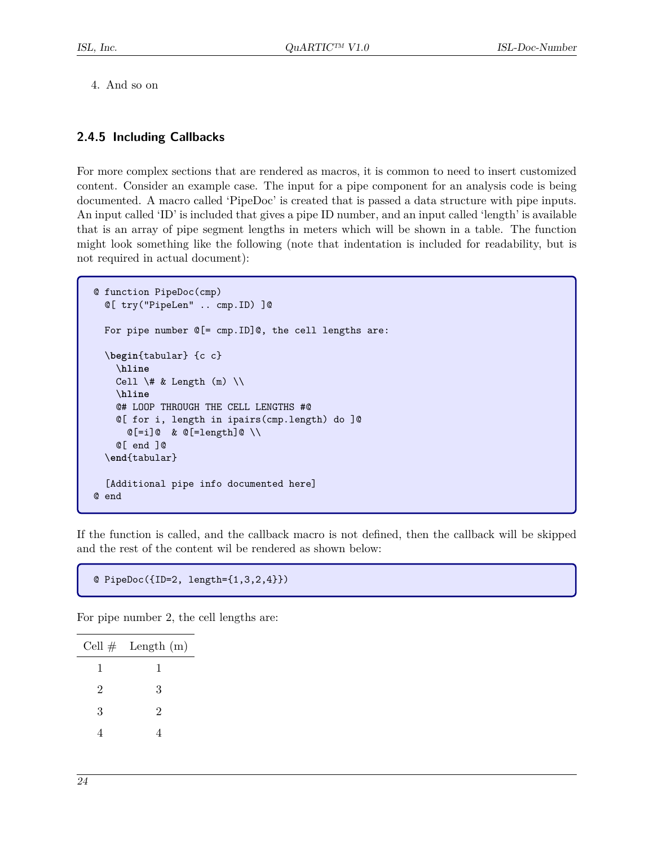4. And so on

#### <span id="page-28-0"></span>**2.4.5 Including Callbacks**

For more complex sections that are rendered as macros, it is common to need to insert customized content. Consider an example case. The input for a pipe component for an analysis code is being documented. A macro called 'PipeDoc' is created that is passed a data structure with pipe inputs. An input called 'ID' is included that gives a pipe ID number, and an input called 'length' is available that is an array of pipe segment lengths in meters which will be shown in a table. The function might look something like the following (note that indentation is included for readability, but is not required in actual document):

```
@ function PipeDoc(cmp)
  @[ try("PipeLen" .. cmp.ID) ]@
 For pipe number @[= cmp.ID]@, the cell lengths are:
  \begin{tabular} {c c}
    \hline
    Cell \forall & Length (m) \setminus\hline
    @# LOOP THROUGH THE CELL LENGTHS #@
    @[ for i, length in ipairs(cmp.length) do ]@
      @[=i]@&@[=length]@ \ \wedge@[ end ]@
  \end{tabular}
  [Additional pipe info documented here]
@ end
```
If the function is called, and the callback macro is not defined, then the callback will be skipped and the rest of the content wil be rendered as shown below:

```
@ PipeDoc({ID=2, length={1,3,2,4}})
```
For pipe number 2, the cell lengths are:

|   | Cell $\#$ Length (m) |
|---|----------------------|
| 1 | 1                    |
| 2 | 3                    |
| 3 | $\overline{2}$       |
| 4 |                      |
|   |                      |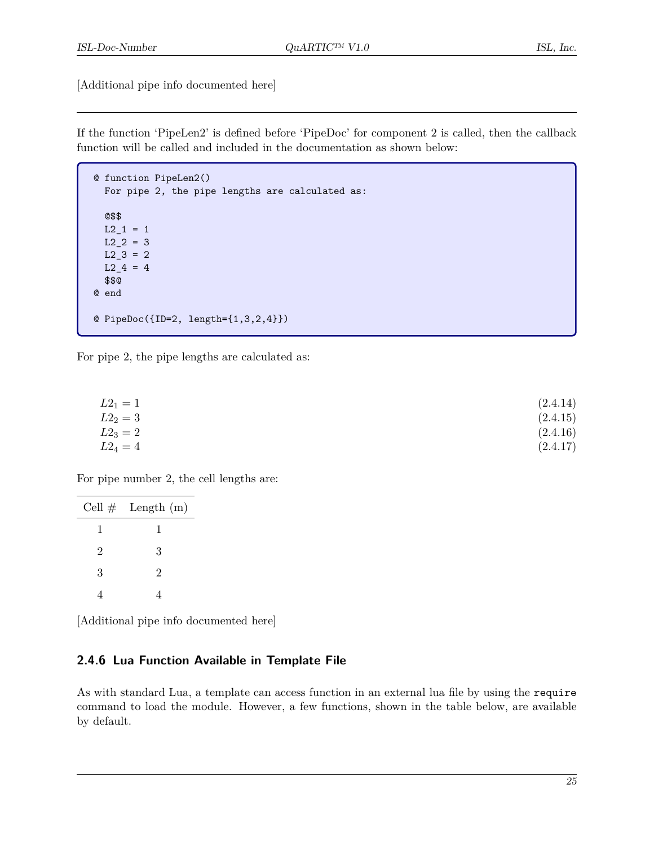[Additional pipe info documented here]

If the function 'PipeLen2' is defined before 'PipeDoc' for component 2 is called, then the callback function will be called and included in the documentation as shown below:

```
@ function PipeLen2()
 For pipe 2, the pipe lengths are calculated as:
  @$$
 L2_1 = 1L2 2 = 3
 L2_3 = 2L24 = 4$$@
@ end
@ PipeDoc({ID=2, length={1,3,2,4}})
```
For pipe 2, the pipe lengths are calculated as:

| $L2_1 = 1$ | (2.4.14) |
|------------|----------|
| $L2_2 = 3$ | (2.4.15) |
| $L2_3 = 2$ | (2.4.16) |
| $L2_4 = 4$ | (2.4.17) |

For pipe number 2, the cell lengths are:

|                | Cell $\#$ Length (m) |
|----------------|----------------------|
| 1              | 1                    |
| $\overline{2}$ | 3                    |
| 3              | $\overline{2}$       |
|                |                      |

[Additional pipe info documented here]

#### <span id="page-29-0"></span>**2.4.6 Lua Function Available in Template File**

As with standard Lua, a template can access function in an external lua file by using the require command to load the module. However, a few functions, shown in the table below, are available by default.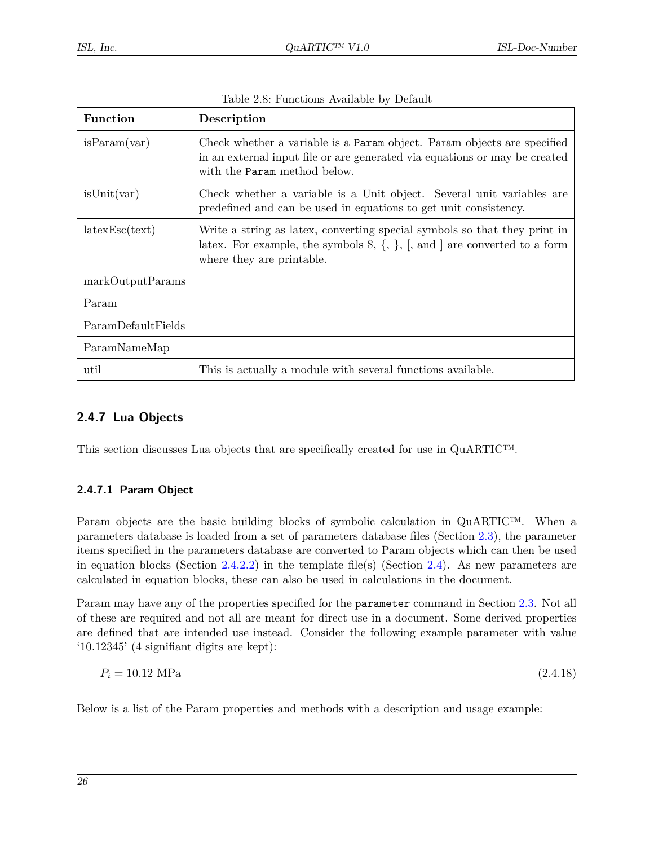| <b>Function</b>    | Description                                                                                                                                                                                                          |
|--------------------|----------------------------------------------------------------------------------------------------------------------------------------------------------------------------------------------------------------------|
| isParam(var)       | Check whether a variable is a Param object. Param objects are specified<br>in an external input file or are generated via equations or may be created<br>with the Param method below.                                |
| isUnit(var)        | Check whether a variable is a Unit object. Several unit variables are<br>predefined and can be used in equations to get unit consistency.                                                                            |
| latesEsc(text)     | Write a string as latex, converting special symbols so that they print in<br>latex. For example, the symbols $\hat{\mathcal{S}}, \{\,\},\, \{\,\},\, \Pi$ , and are converted to a form<br>where they are printable. |
| markOutputParams   |                                                                                                                                                                                                                      |
| Param              |                                                                                                                                                                                                                      |
| ParamDefaultFields |                                                                                                                                                                                                                      |
| ParamNameMap       |                                                                                                                                                                                                                      |
| util               | This is actually a module with several functions available.                                                                                                                                                          |

| Table 2.8: Functions Available by Default |  |  |  |  |
|-------------------------------------------|--|--|--|--|
|-------------------------------------------|--|--|--|--|

#### <span id="page-30-0"></span>**2.4.7 Lua Objects**

This section discusses Lua objects that are specifically created for use in QuARTIC™.

#### <span id="page-30-1"></span>**2.4.7.1 Param Object**

Param objects are the basic building blocks of symbolic calculation in QuARTIC™. When a parameters database is loaded from a set of parameters database files (Section [2.3\)](#page-10-1), the parameter items specified in the parameters database are converted to Param objects which can then be used in equation blocks (Section [2.4.2.2\)](#page-19-0) in the template file(s) (Section [2.4\)](#page-15-2). As new parameters are calculated in equation blocks, these can also be used in calculations in the document.

Param may have any of the properties specified for the parameter command in Section [2.3.](#page-10-1) Not all of these are required and not all are meant for direct use in a document. Some derived properties are defined that are intended use instead. Consider the following example parameter with value '10.12345' (4 signifiant digits are kept):

<span id="page-30-2"></span>
$$
P_i = 10.12 \text{ MPa} \tag{2.4.18}
$$

Below is a list of the Param properties and methods with a description and usage example: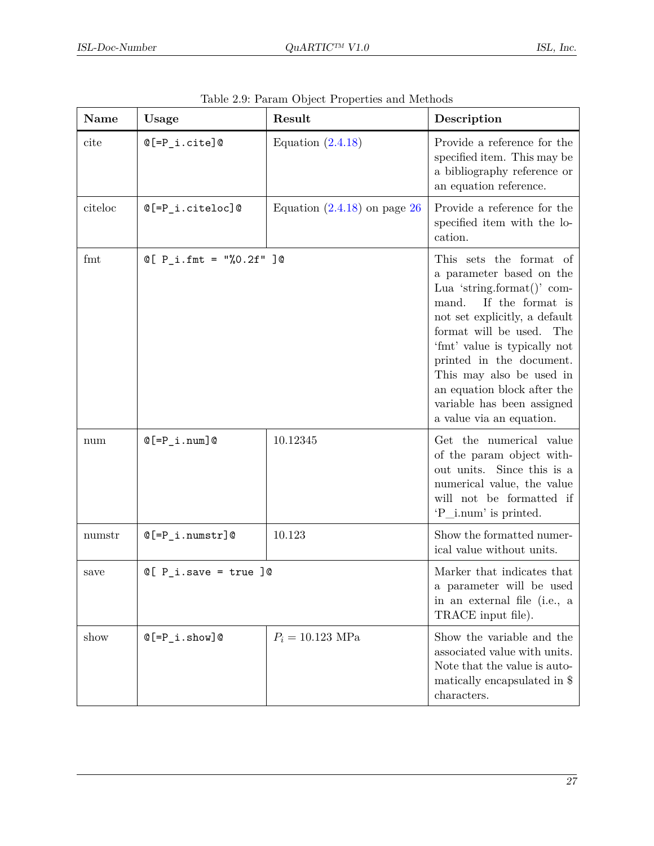| Name    | Usage                         | Result                         | Description                                                                                                                                                                                                                                                                                                                                                  |
|---------|-------------------------------|--------------------------------|--------------------------------------------------------------------------------------------------------------------------------------------------------------------------------------------------------------------------------------------------------------------------------------------------------------------------------------------------------------|
| cite    | $@[=P_i.cite]@$               | Equation $(2.4.18)$            | Provide a reference for the<br>specified item. This may be<br>a bibliography reference or<br>an equation reference.                                                                                                                                                                                                                                          |
| citeloc | $@[=P_i.citedoc]@$            | Equation $(2.4.18)$ on page 26 | Provide a reference for the<br>specified item with the lo-<br>cation.                                                                                                                                                                                                                                                                                        |
| fmt     | $Q[ P_i . fmt = "\, 0.2f" ]@$ |                                | This sets the format of<br>a parameter based on the<br>Lua 'string.format()' com-<br>If the format is<br>mand.<br>not set explicitly, a default<br>format will be used. The<br>'fmt' value is typically not<br>printed in the document.<br>This may also be used in<br>an equation block after the<br>variable has been assigned<br>a value via an equation. |
| num     | $@[=P_i.num]@$                | 10.12345                       | Get the numerical value<br>of the param object with-<br>out units. Since this is a<br>numerical value, the value<br>will not be formatted if<br>'P_i.num' is printed.                                                                                                                                                                                        |
| numstr  | $@[=P_i.numstr]@$             | 10.123                         | Show the formatted numer-<br>ical value without units.                                                                                                                                                                                                                                                                                                       |
| save    | $Q[ P_i.save = true ]$        |                                | Marker that indicates that<br>a parameter will be used<br>in an external file (i.e., a<br>TRACE input file).                                                                                                                                                                                                                                                 |
| show    | $@[=P_i.show]@$               | $P_i = 10.123 \text{ MPa}$     | Show the variable and the<br>associated value with units.<br>Note that the value is auto-<br>matically encapsulated in \$<br>characters.                                                                                                                                                                                                                     |

| Table 2.9: Param Object Properties and Methods |
|------------------------------------------------|
|                                                |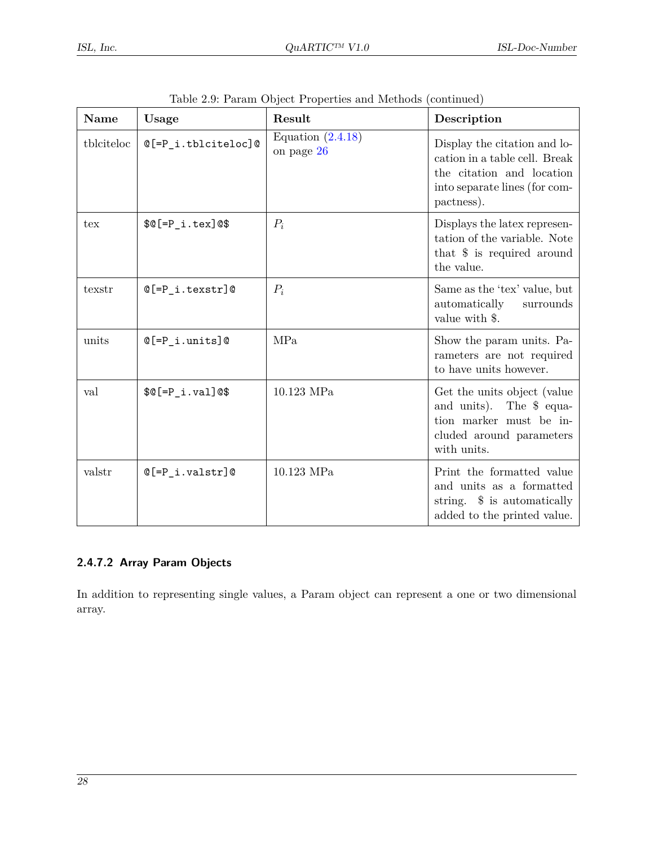| <b>Name</b> | Usage                 | Result                            | Description                                                                                                                               |
|-------------|-----------------------|-----------------------------------|-------------------------------------------------------------------------------------------------------------------------------------------|
| tblciteloc  | $@[=P_i.tblciteloc]@$ | Equation $(2.4.18)$<br>on page 26 | Display the citation and lo-<br>cation in a table cell. Break<br>the citation and location<br>into separate lines (for com-<br>pactness). |
| tex         | $$@[=P_i.tex]@$$      | $P_i$                             | Displays the latex represen-<br>tation of the variable. Note<br>that $\frac{1}{2}$ is required around<br>the value.                       |
| texstr      | $@[=P_i.texstr]@$     | $P_i$                             | Same as the 'tex' value, but<br>automatically<br>surrounds<br>value with \$.                                                              |
| units       | $@[=P_i.units]@$      | MPa                               | Show the param units. Pa-<br>rameters are not required<br>to have units however.                                                          |
| val         | $$@[=P_i.va1]@$$      | 10.123 MPa                        | Get the units object (value)<br>and units). The \$ equa-<br>tion marker must be in-<br>cluded around parameters<br>with units.            |
| valstr      | $@[=P_i.valstr]@$     | $10.123$ MPa                      | Print the formatted value<br>and units as a formatted<br>string. \$ is automatically<br>added to the printed value.                       |

|  | Table 2.9: Param Object Properties and Methods (continued) |  |  |
|--|------------------------------------------------------------|--|--|
|--|------------------------------------------------------------|--|--|

#### <span id="page-32-0"></span>**2.4.7.2 Array Param Objects**

In addition to representing single values, a Param object can represent a one or two dimensional array.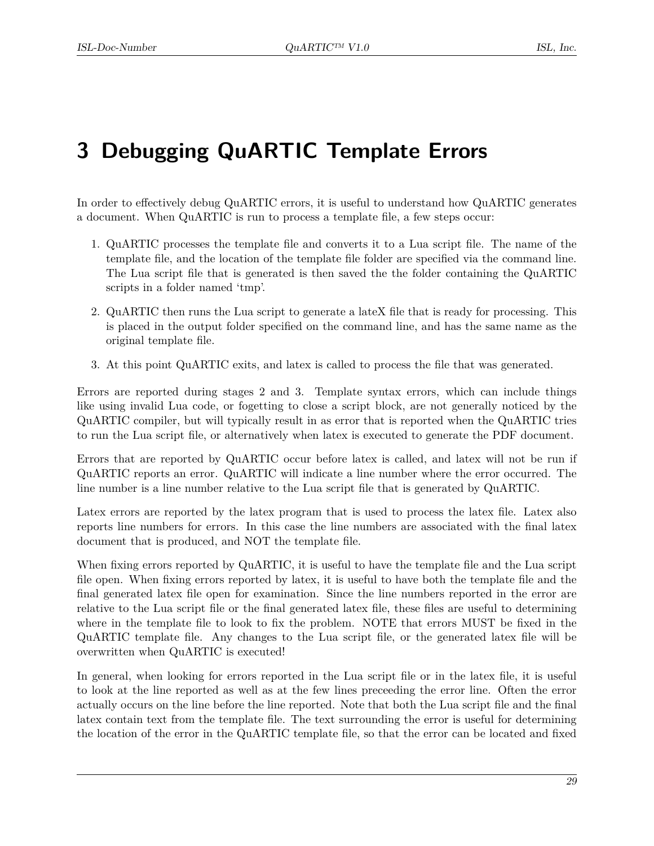# <span id="page-33-0"></span>**3 Debugging QuARTIC Template Errors**

In order to effectively debug QuARTIC errors, it is useful to understand how QuARTIC generates a document. When QuARTIC is run to process a template file, a few steps occur:

- 1. QuARTIC processes the template file and converts it to a Lua script file. The name of the template file, and the location of the template file folder are specified via the command line. The Lua script file that is generated is then saved the the folder containing the QuARTIC scripts in a folder named 'tmp'.
- 2. QuARTIC then runs the Lua script to generate a lateX file that is ready for processing. This is placed in the output folder specified on the command line, and has the same name as the original template file.
- 3. At this point QuARTIC exits, and latex is called to process the file that was generated.

Errors are reported during stages 2 and 3. Template syntax errors, which can include things like using invalid Lua code, or fogetting to close a script block, are not generally noticed by the QuARTIC compiler, but will typically result in as error that is reported when the QuARTIC tries to run the Lua script file, or alternatively when latex is executed to generate the PDF document.

Errors that are reported by QuARTIC occur before latex is called, and latex will not be run if QuARTIC reports an error. QuARTIC will indicate a line number where the error occurred. The line number is a line number relative to the Lua script file that is generated by QuARTIC.

Latex errors are reported by the latex program that is used to process the latex file. Latex also reports line numbers for errors. In this case the line numbers are associated with the final latex document that is produced, and NOT the template file.

When fixing errors reported by QuARTIC, it is useful to have the template file and the Lua script file open. When fixing errors reported by latex, it is useful to have both the template file and the final generated latex file open for examination. Since the line numbers reported in the error are relative to the Lua script file or the final generated latex file, these files are useful to determining where in the template file to look to fix the problem. NOTE that errors MUST be fixed in the QuARTIC template file. Any changes to the Lua script file, or the generated latex file will be overwritten when QuARTIC is executed!

In general, when looking for errors reported in the Lua script file or in the latex file, it is useful to look at the line reported as well as at the few lines preceeding the error line. Often the error actually occurs on the line before the line reported. Note that both the Lua script file and the final latex contain text from the template file. The text surrounding the error is useful for determining the location of the error in the QuARTIC template file, so that the error can be located and fixed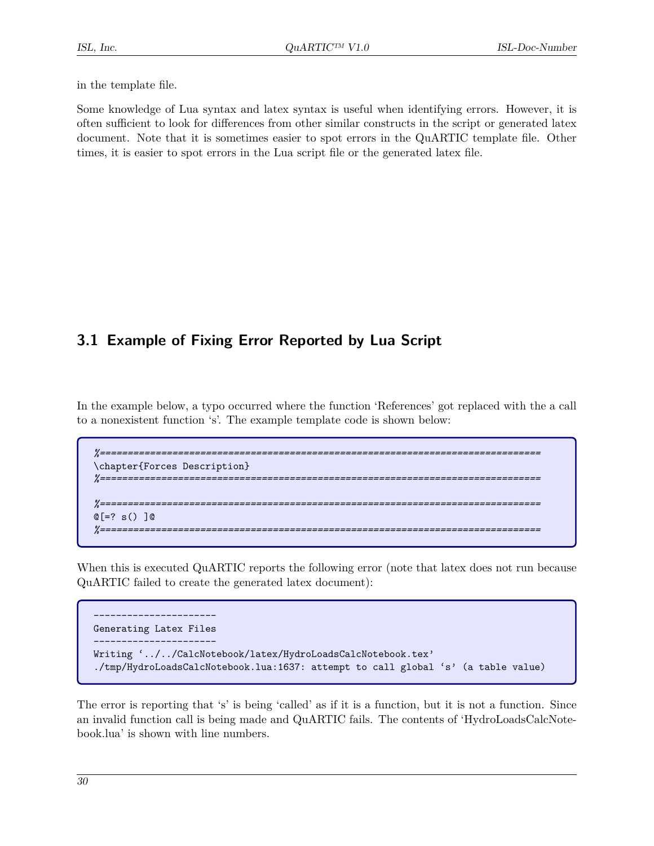in the template file.

Some knowledge of Lua syntax and latex syntax is useful when identifying errors. However, it is often sufficient to look for differences from other similar constructs in the script or generated latex document. Note that it is sometimes easier to spot errors in the QuARTIC template file. Other times, it is easier to spot errors in the Lua script file or the generated latex file.

## <span id="page-34-0"></span>**3.1 Example of Fixing Error Reported by Lua Script**

In the example below, a typo occurred where the function 'References' got replaced with the a call to a nonexistent function 's'. The example template code is shown below:

```
%===============================================================================
\chapter{Forces Description}
%===============================================================================
%===============================================================================
@[=? s() ]@
%===============================================================================
```
When this is executed QuARTIC reports the following error (note that latex does not run because QuARTIC failed to create the generated latex document):

```
----------------------
Generating Latex Files
----------------------
Writing '../../CalcNotebook/latex/HydroLoadsCalcNotebook.tex'
./tmp/HydroLoadsCalcNotebook.lua:1637: attempt to call global 's' (a table value)
```
The error is reporting that 's' is being 'called' as if it is a function, but it is not a function. Since an invalid function call is being made and QuARTIC fails. The contents of 'HydroLoadsCalcNotebook.lua' is shown with line numbers.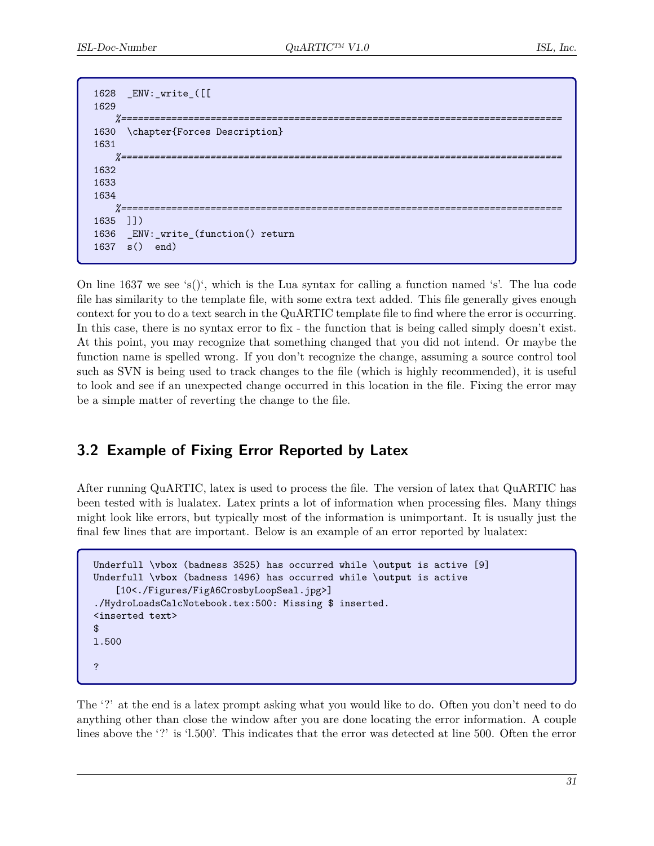```
1628 _ENV:_write_([[
1629
    %===============================================================================
1630 \chapter{Forces Description}
1631
    %===============================================================================
1632
1633
1634
    %===============================================================================
1635 ]])
1636 _ENV:_write_(function() return
1637 s() end)
```
On line 1637 we see 's()', which is the Lua syntax for calling a function named 's'. The lua code file has similarity to the template file, with some extra text added. This file generally gives enough context for you to do a text search in the QuARTIC template file to find where the error is occurring. In this case, there is no syntax error to fix - the function that is being called simply doesn't exist. At this point, you may recognize that something changed that you did not intend. Or maybe the function name is spelled wrong. If you don't recognize the change, assuming a source control tool such as SVN is being used to track changes to the file (which is highly recommended), it is useful to look and see if an unexpected change occurred in this location in the file. Fixing the error may be a simple matter of reverting the change to the file.

## <span id="page-35-0"></span>**3.2 Example of Fixing Error Reported by Latex**

After running QuARTIC, latex is used to process the file. The version of latex that QuARTIC has been tested with is lualatex. Latex prints a lot of information when processing files. Many things might look like errors, but typically most of the information is unimportant. It is usually just the final few lines that are important. Below is an example of an error reported by lualatex:

```
Underfull \vbox (badness 3525) has occurred while \output is active [9]
Underfull \vbox (badness 1496) has occurred while \output is active
    [10<./Figures/FigA6CrosbyLoopSeal.jpg>]
./HydroLoadsCalcNotebook.tex:500: Missing $ inserted.
<inserted text>
$
l.500
?
```
The '?' at the end is a latex prompt asking what you would like to do. Often you don't need to do anything other than close the window after you are done locating the error information. A couple lines above the '?' is 'l.500'. This indicates that the error was detected at line 500. Often the error